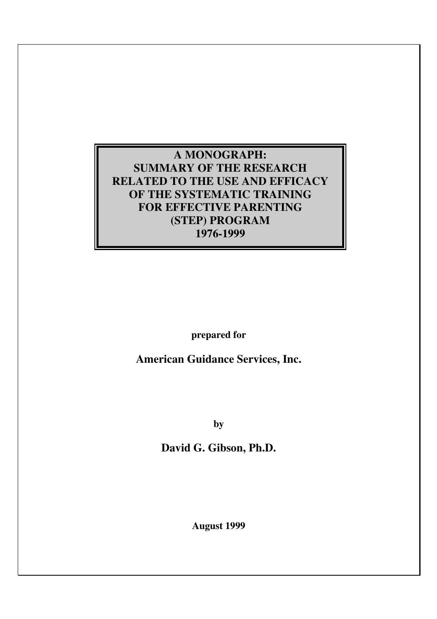## **A MONOGRAPH: SUMMARY OF THE RESEARCH RELATED TO THE USE AND EFFICACY OF THE SYSTEMATIC TRAINING FOR EFFECTIVE PARENTING (STEP) PROGRAM 1976-1999**

**prepared for** 

**American Guidance Services, Inc.** 

**by** 

**David G. Gibson, Ph.D.** 

**August 1999**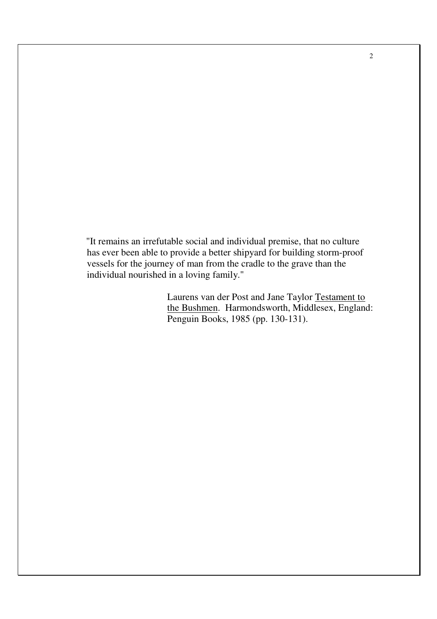"It remains an irrefutable social and individual premise, that no culture has ever been able to provide a better shipyard for building storm-proof vessels for the journey of man from the cradle to the grave than the individual nourished in a loving family."

> Laurens van der Post and Jane Taylor Testament to the Bushmen. Harmondsworth, Middlesex, England: Penguin Books, 1985 (pp. 130-131).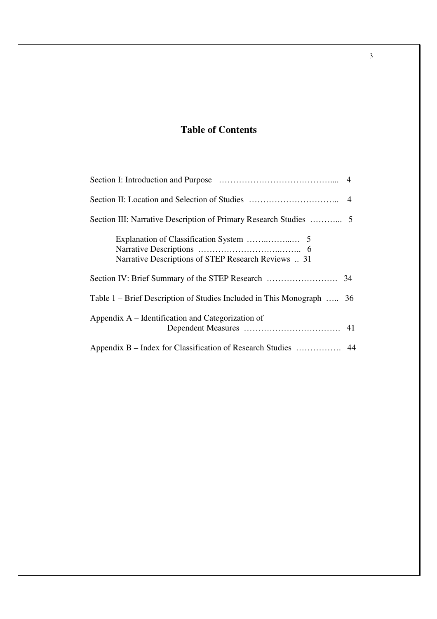## **Table of Contents**

| Narrative Descriptions of STEP Research Reviews  31                   |
|-----------------------------------------------------------------------|
|                                                                       |
| Table 1 – Brief Description of Studies Included in This Monograph  36 |
| Appendix A – Identification and Categorization of                     |
|                                                                       |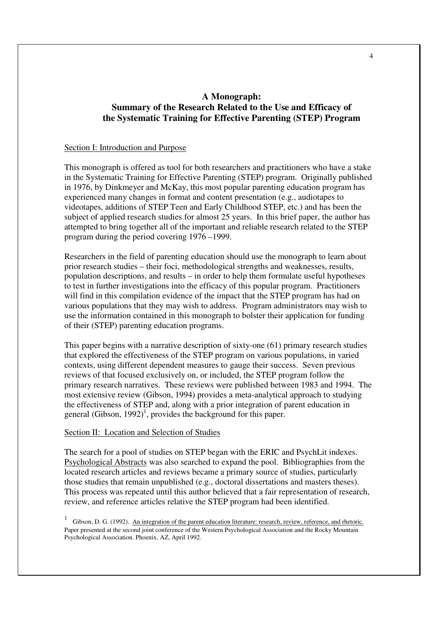## **A Monograph: Summary of the Research Related to the Use and Efficacy of the Systematic Training for Effective Parenting (STEP) Program**

## Section I: Introduction and Purpose

This monograph is offered as tool for both researchers and practitioners who have a stake in the Systematic Training for Effective Parenting (STEP) program. Originally published in 1976, by Dinkmeyer and McKay, this most popular parenting education program has experienced many changes in format and content presentation (e.g., audiotapes to videotapes, additions of STEP Teen and Early Childhood STEP, etc.) and has been the subject of applied research studies for almost 25 years. In this brief paper, the author has attempted to bring together all of the important and reliable research related to the STEP program during the period covering 1976 –1999.

Researchers in the field of parenting education should use the monograph to learn about prior research studies – their foci, methodological strengths and weaknesses, results, population descriptions, and results – in order to help them formulate useful hypotheses to test in further investigations into the efficacy of this popular program. Practitioners will find in this compilation evidence of the impact that the STEP program has had on various populations that they may wish to address. Program administrators may wish to use the information contained in this monograph to bolster their application for funding of their (STEP) parenting education programs.

This paper begins with a narrative description of sixty-one (61) primary research studies that explored the effectiveness of the STEP program on various populations, in varied contexts, using different dependent measures to gauge their success. Seven previous reviews of that focused exclusively on, or included, the STEP program follow the primary research narratives. These reviews were published between 1983 and 1994. The most extensive review (Gibson, 1994) provides a meta-analytical approach to studying the effectiveness of STEP and, along with a prior integration of parent education in general (Gibson, 1992)<sup>1</sup>, provides the background for this paper.

## Section II: Location and Selection of Studies

The search for a pool of studies on STEP began with the ERIC and PsychLit indexes. Psychological Abstracts was also searched to expand the pool. Bibliographies from the located research articles and reviews became a primary source of studies, particularly those studies that remain unpublished (e.g., doctoral dissertations and masters theses). This process was repeated until this author believed that a fair representation of research, review, and reference articles relative the STEP program had been identified.

Gibson, D. G. (1992). An integration of the parent education literature: research, review, reference, and rhetoric. Paper presented at the second joint conference of the Western Psychological Association and the Rocky Mountain Psychological Association. Phoenix, AZ, April 1992.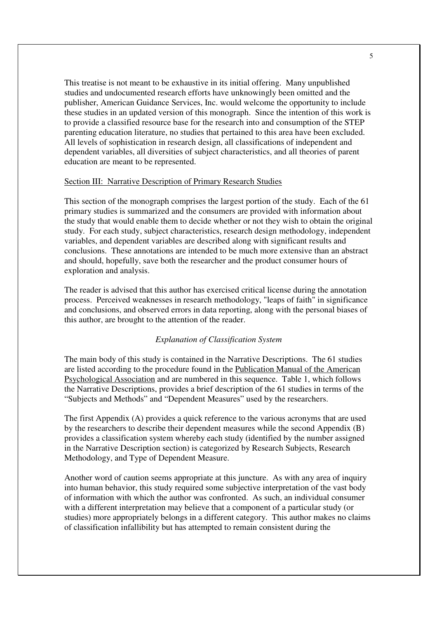This treatise is not meant to be exhaustive in its initial offering. Many unpublished studies and undocumented research efforts have unknowingly been omitted and the publisher, American Guidance Services, Inc. would welcome the opportunity to include these studies in an updated version of this monograph. Since the intention of this work is to provide a classified resource base for the research into and consumption of the STEP parenting education literature, no studies that pertained to this area have been excluded. All levels of sophistication in research design, all classifications of independent and dependent variables, all diversities of subject characteristics, and all theories of parent education are meant to be represented.

## Section III: Narrative Description of Primary Research Studies

This section of the monograph comprises the largest portion of the study. Each of the 61 primary studies is summarized and the consumers are provided with information about the study that would enable them to decide whether or not they wish to obtain the original study. For each study, subject characteristics, research design methodology, independent variables, and dependent variables are described along with significant results and conclusions. These annotations are intended to be much more extensive than an abstract and should, hopefully, save both the researcher and the product consumer hours of exploration and analysis.

The reader is advised that this author has exercised critical license during the annotation process. Perceived weaknesses in research methodology, "leaps of faith" in significance and conclusions, and observed errors in data reporting, along with the personal biases of this author, are brought to the attention of the reader.

## *Explanation of Classification System*

The main body of this study is contained in the Narrative Descriptions. The 61 studies are listed according to the procedure found in the Publication Manual of the American Psychological Association and are numbered in this sequence. Table 1, which follows the Narrative Descriptions, provides a brief description of the 61 studies in terms of the "Subjects and Methods" and "Dependent Measures" used by the researchers.

The first Appendix (A) provides a quick reference to the various acronyms that are used by the researchers to describe their dependent measures while the second Appendix (B) provides a classification system whereby each study (identified by the number assigned in the Narrative Description section) is categorized by Research Subjects, Research Methodology, and Type of Dependent Measure.

Another word of caution seems appropriate at this juncture. As with any area of inquiry into human behavior, this study required some subjective interpretation of the vast body of information with which the author was confronted. As such, an individual consumer with a different interpretation may believe that a component of a particular study (or studies) more appropriately belongs in a different category. This author makes no claims of classification infallibility but has attempted to remain consistent during the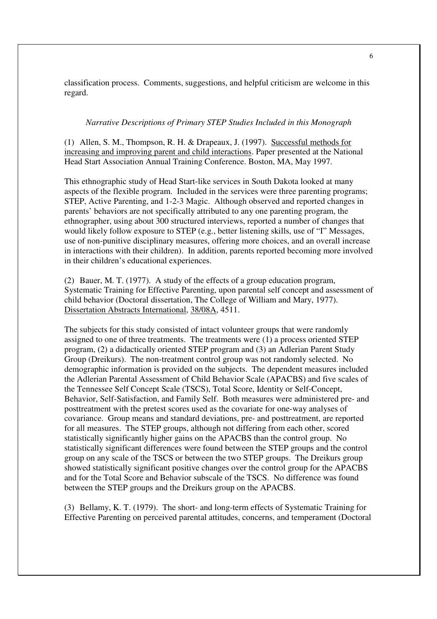classification process. Comments, suggestions, and helpful criticism are welcome in this regard.

#### *Narrative Descriptions of Primary STEP Studies Included in this Monograph*

(1) Allen, S. M., Thompson, R. H. & Drapeaux, J. (1997). Successful methods for increasing and improving parent and child interactions. Paper presented at the National Head Start Association Annual Training Conference. Boston, MA, May 1997.

This ethnographic study of Head Start-like services in South Dakota looked at many aspects of the flexible program. Included in the services were three parenting programs; STEP, Active Parenting, and 1-2-3 Magic. Although observed and reported changes in parents' behaviors are not specifically attributed to any one parenting program, the ethnographer, using about 300 structured interviews, reported a number of changes that would likely follow exposure to STEP (e.g., better listening skills, use of "I" Messages, use of non-punitive disciplinary measures, offering more choices, and an overall increase in interactions with their children). In addition, parents reported becoming more involved in their children's educational experiences.

(2) Bauer, M. T. (1977). A study of the effects of a group education program, Systematic Training for Effective Parenting, upon parental self concept and assessment of child behavior (Doctoral dissertation, The College of William and Mary, 1977). Dissertation Abstracts International, 38/08A, 4511.

The subjects for this study consisted of intact volunteer groups that were randomly assigned to one of three treatments. The treatments were (1) a process oriented STEP program, (2) a didactically oriented STEP program and (3) an Adlerian Parent Study Group (Dreikurs). The non-treatment control group was not randomly selected. No demographic information is provided on the subjects. The dependent measures included the Adlerian Parental Assessment of Child Behavior Scale (APACBS) and five scales of the Tennessee Self Concept Scale (TSCS), Total Score, Identity or Self-Concept, Behavior, Self-Satisfaction, and Family Self. Both measures were administered pre- and posttreatment with the pretest scores used as the covariate for one-way analyses of covariance. Group means and standard deviations, pre- and posttreatment, are reported for all measures. The STEP groups, although not differing from each other, scored statistically significantly higher gains on the APACBS than the control group. No statistically significant differences were found between the STEP groups and the control group on any scale of the TSCS or between the two STEP groups. The Dreikurs group showed statistically significant positive changes over the control group for the APACBS and for the Total Score and Behavior subscale of the TSCS. No difference was found between the STEP groups and the Dreikurs group on the APACBS.

(3) Bellamy, K. T. (1979). The short- and long-term effects of Systematic Training for Effective Parenting on perceived parental attitudes, concerns, and temperament (Doctoral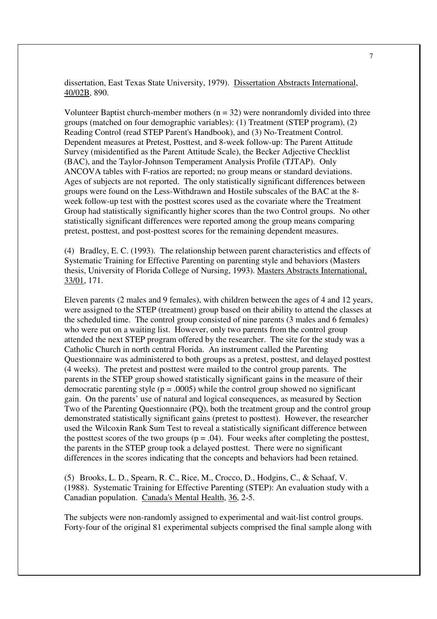dissertation, East Texas State University, 1979). Dissertation Abstracts International, 40/02B, 890.

Volunteer Baptist church-member mothers  $(n = 32)$  were nonrandomly divided into three groups (matched on four demographic variables): (1) Treatment (STEP program), (2) Reading Control (read STEP Parent's Handbook), and (3) No-Treatment Control. Dependent measures at Pretest, Posttest, and 8-week follow-up: The Parent Attitude Survey (misidentified as the Parent Attitude Scale), the Becker Adjective Checklist (BAC), and the Taylor-Johnson Temperament Analysis Profile (TJTAP). Only ANCOVA tables with F-ratios are reported; no group means or standard deviations. Ages of subjects are not reported. The only statistically significant differences between groups were found on the Less-Withdrawn and Hostile subscales of the BAC at the 8 week follow-up test with the posttest scores used as the covariate where the Treatment Group had statistically significantly higher scores than the two Control groups. No other statistically significant differences were reported among the group means comparing pretest, posttest, and post-posttest scores for the remaining dependent measures.

(4) Bradley, E. C. (1993). The relationship between parent characteristics and effects of Systematic Training for Effective Parenting on parenting style and behaviors (Masters thesis, University of Florida College of Nursing, 1993). Masters Abstracts International, 33/01, 171.

Eleven parents (2 males and 9 females), with children between the ages of 4 and 12 years, were assigned to the STEP (treatment) group based on their ability to attend the classes at the scheduled time. The control group consisted of nine parents (3 males and 6 females) who were put on a waiting list. However, only two parents from the control group attended the next STEP program offered by the researcher. The site for the study was a Catholic Church in north central Florida. An instrument called the Parenting Questionnaire was administered to both groups as a pretest, posttest, and delayed posttest (4 weeks). The pretest and posttest were mailed to the control group parents. The parents in the STEP group showed statistically significant gains in the measure of their democratic parenting style  $(p = .0005)$  while the control group showed no significant gain. On the parents' use of natural and logical consequences, as measured by Section Two of the Parenting Questionnaire (PQ), both the treatment group and the control group demonstrated statistically significant gains (pretest to posttest). However, the researcher used the Wilcoxin Rank Sum Test to reveal a statistically significant difference between the posttest scores of the two groups ( $p = .04$ ). Four weeks after completing the posttest, the parents in the STEP group took a delayed posttest. There were no significant differences in the scores indicating that the concepts and behaviors had been retained.

(5) Brooks, L. D., Spearn, R. C., Rice, M., Crocco, D., Hodgins, C., & Schaaf, V. (1988). Systematic Training for Effective Parenting (STEP): An evaluation study with a Canadian population. Canada's Mental Health, 36, 2-5.

The subjects were non-randomly assigned to experimental and wait-list control groups. Forty-four of the original 81 experimental subjects comprised the final sample along with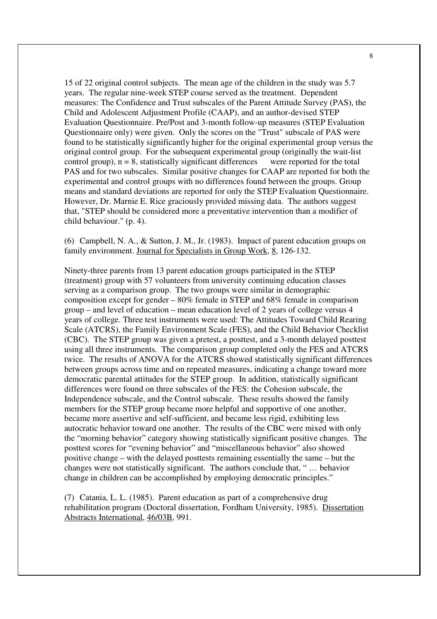15 of 22 original control subjects. The mean age of the children in the study was 5.7 years. The regular nine-week STEP course served as the treatment. Dependent measures: The Confidence and Trust subscales of the Parent Attitude Survey (PAS), the Child and Adolescent Adjustment Profile (CAAP), and an author-devised STEP Evaluation Questionnaire. Pre/Post and 3-month follow-up measures (STEP Evaluation Questionnaire only) were given. Only the scores on the "Trust" subscale of PAS were found to be statistically significantly higher for the original experimental group versus the original control group. For the subsequent experimental group (originally the wait-list control group),  $n = 8$ , statistically significant differences were reported for the total PAS and for two subscales. Similar positive changes for CAAP are reported for both the experimental and control groups with no differences found between the groups. Group means and standard deviations are reported for only the STEP Evaluation Questionnaire. However, Dr. Marnie E. Rice graciously provided missing data. The authors suggest that, "STEP should be considered more a preventative intervention than a modifier of child behaviour." (p. 4).

(6) Campbell, N. A., & Sutton, J. M., Jr. (1983). Impact of parent education groups on family environment. Journal for Specialists in Group Work, 8, 126-132.

Ninety-three parents from 13 parent education groups participated in the STEP (treatment) group with 57 volunteers from university continuing education classes serving as a comparison group. The two groups were similar in demographic composition except for gender – 80% female in STEP and 68% female in comparison group – and level of education – mean education level of 2 years of college versus 4 years of college. Three test instruments were used: The Attitudes Toward Child Rearing Scale (ATCRS), the Family Environment Scale (FES), and the Child Behavior Checklist (CBC). The STEP group was given a pretest, a posttest, and a 3-month delayed posttest using all three instruments. The comparison group completed only the FES and ATCRS twice. The results of ANOVA for the ATCRS showed statistically significant differences between groups across time and on repeated measures, indicating a change toward more democratic parental attitudes for the STEP group. In addition, statistically significant differences were found on three subscales of the FES: the Cohesion subscale, the Independence subscale, and the Control subscale. These results showed the family members for the STEP group became more helpful and supportive of one another, became more assertive and self-sufficient, and became less rigid, exhibiting less autocratic behavior toward one another. The results of the CBC were mixed with only the "morning behavior" category showing statistically significant positive changes. The posttest scores for "evening behavior" and "miscellaneous behavior" also showed positive change – with the delayed posttests remaining essentially the same – but the changes were not statistically significant. The authors conclude that, " … behavior change in children can be accomplished by employing democratic principles."

(7) Catania, L. L. (1985). Parent education as part of a comprehensive drug rehabilitation program (Doctoral dissertation, Fordham University, 1985). Dissertation Abstracts International, 46/03B, 991.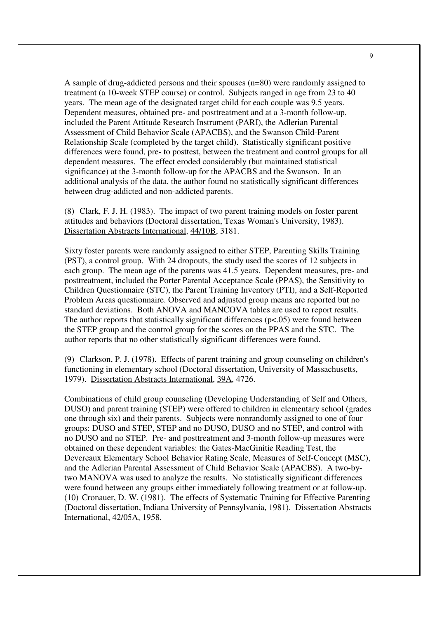A sample of drug-addicted persons and their spouses (n=80) were randomly assigned to treatment (a 10-week STEP course) or control. Subjects ranged in age from 23 to 40 years. The mean age of the designated target child for each couple was 9.5 years. Dependent measures, obtained pre- and posttreatment and at a 3-month follow-up, included the Parent Attitude Research Instrument (PARI), the Adlerian Parental Assessment of Child Behavior Scale (APACBS), and the Swanson Child-Parent Relationship Scale (completed by the target child). Statistically significant positive differences were found, pre- to posttest, between the treatment and control groups for all dependent measures. The effect eroded considerably (but maintained statistical significance) at the 3-month follow-up for the APACBS and the Swanson. In an additional analysis of the data, the author found no statistically significant differences between drug-addicted and non-addicted parents.

(8) Clark, F. J. H. (1983). The impact of two parent training models on foster parent attitudes and behaviors (Doctoral dissertation, Texas Woman's University, 1983). Dissertation Abstracts International, 44/10B, 3181.

Sixty foster parents were randomly assigned to either STEP, Parenting Skills Training (PST), a control group. With 24 dropouts, the study used the scores of 12 subjects in each group. The mean age of the parents was 41.5 years. Dependent measures, pre- and posttreatment, included the Porter Parental Acceptance Scale (PPAS), the Sensitivity to Children Questionnaire (STC), the Parent Training Inventory (PTI), and a Self-Reported Problem Areas questionnaire. Observed and adjusted group means are reported but no standard deviations. Both ANOVA and MANCOVA tables are used to report results. The author reports that statistically significant differences ( $p<0.05$ ) were found between the STEP group and the control group for the scores on the PPAS and the STC. The author reports that no other statistically significant differences were found.

(9) Clarkson, P. J. (1978). Effects of parent training and group counseling on children's functioning in elementary school (Doctoral dissertation, University of Massachusetts, 1979). Dissertation Abstracts International, 39A, 4726.

Combinations of child group counseling (Developing Understanding of Self and Others, DUSO) and parent training (STEP) were offered to children in elementary school (grades one through six) and their parents. Subjects were nonrandomly assigned to one of four groups: DUSO and STEP, STEP and no DUSO, DUSO and no STEP, and control with no DUSO and no STEP. Pre- and posttreatment and 3-month follow-up measures were obtained on these dependent variables: the Gates-MacGinitie Reading Test, the Devereaux Elementary School Behavior Rating Scale, Measures of Self-Concept (MSC), and the Adlerian Parental Assessment of Child Behavior Scale (APACBS). A two-bytwo MANOVA was used to analyze the results. No statistically significant differences were found between any groups either immediately following treatment or at follow-up. (10) Cronauer, D. W. (1981). The effects of Systematic Training for Effective Parenting (Doctoral dissertation, Indiana University of Pennsylvania, 1981). Dissertation Abstracts International, 42/05A, 1958.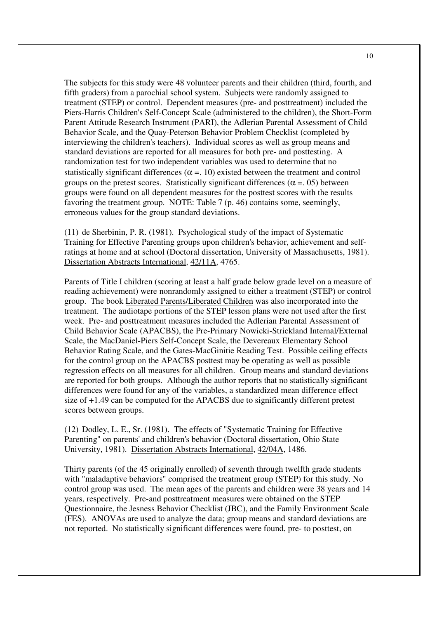The subjects for this study were 48 volunteer parents and their children (third, fourth, and fifth graders) from a parochial school system. Subjects were randomly assigned to treatment (STEP) or control. Dependent measures (pre- and posttreatment) included the Piers-Harris Children's Self-Concept Scale (administered to the children), the Short-Form Parent Attitude Research Instrument (PARI), the Adlerian Parental Assessment of Child Behavior Scale, and the Quay-Peterson Behavior Problem Checklist (completed by interviewing the children's teachers). Individual scores as well as group means and standard deviations are reported for all measures for both pre- and posttesting. A randomization test for two independent variables was used to determine that no statistically significant differences ( $\alpha = 10$ ) existed between the treatment and control groups on the pretest scores. Statistically significant differences ( $\alpha$  = 0.05) between groups were found on all dependent measures for the posttest scores with the results favoring the treatment group. NOTE: Table 7 (p. 46) contains some, seemingly, erroneous values for the group standard deviations.

(11) de Sherbinin, P. R. (1981). Psychological study of the impact of Systematic Training for Effective Parenting groups upon children's behavior, achievement and selfratings at home and at school (Doctoral dissertation, University of Massachusetts, 1981). Dissertation Abstracts International, 42/11A, 4765.

Parents of Title I children (scoring at least a half grade below grade level on a measure of reading achievement) were nonrandomly assigned to either a treatment (STEP) or control group. The book Liberated Parents/Liberated Children was also incorporated into the treatment. The audiotape portions of the STEP lesson plans were not used after the first week. Pre- and posttreatment measures included the Adlerian Parental Assessment of Child Behavior Scale (APACBS), the Pre-Primary Nowicki-Strickland Internal/External Scale, the MacDaniel-Piers Self-Concept Scale, the Devereaux Elementary School Behavior Rating Scale, and the Gates-MacGinitie Reading Test. Possible ceiling effects for the control group on the APACBS posttest may be operating as well as possible regression effects on all measures for all children. Group means and standard deviations are reported for both groups. Although the author reports that no statistically significant differences were found for any of the variables, a standardized mean difference effect size of +1.49 can be computed for the APACBS due to significantly different pretest scores between groups.

(12) Dodley, L. E., Sr. (1981). The effects of "Systematic Training for Effective Parenting" on parents' and children's behavior (Doctoral dissertation, Ohio State University, 1981). Dissertation Abstracts International, 42/04A, 1486.

Thirty parents (of the 45 originally enrolled) of seventh through twelfth grade students with "maladaptive behaviors" comprised the treatment group (STEP) for this study. No control group was used. The mean ages of the parents and children were 38 years and 14 years, respectively. Pre-and posttreatment measures were obtained on the STEP Questionnaire, the Jesness Behavior Checklist (JBC), and the Family Environment Scale (FES). ANOVAs are used to analyze the data; group means and standard deviations are not reported. No statistically significant differences were found, pre- to posttest, on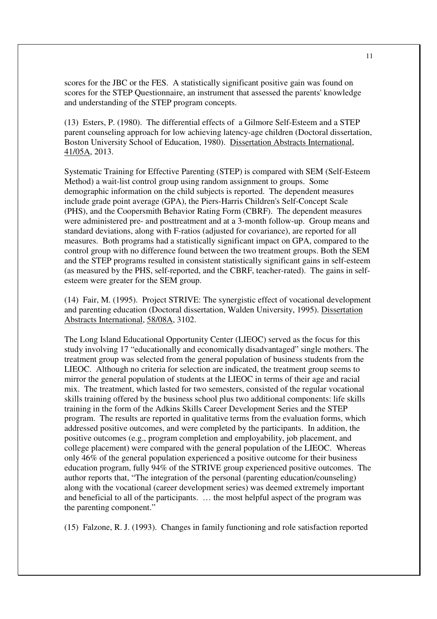scores for the JBC or the FES. A statistically significant positive gain was found on scores for the STEP Questionnaire, an instrument that assessed the parents' knowledge and understanding of the STEP program concepts.

(13) Esters, P. (1980). The differential effects of a Gilmore Self-Esteem and a STEP parent counseling approach for low achieving latency-age children (Doctoral dissertation, Boston University School of Education, 1980). Dissertation Abstracts International, 41/05A, 2013.

Systematic Training for Effective Parenting (STEP) is compared with SEM (Self-Esteem Method) a wait-list control group using random assignment to groups. Some demographic information on the child subjects is reported. The dependent measures include grade point average (GPA), the Piers-Harris Children's Self-Concept Scale (PHS), and the Coopersmith Behavior Rating Form (CBRF). The dependent measures were administered pre- and posttreatment and at a 3-month follow-up. Group means and standard deviations, along with F-ratios (adjusted for covariance), are reported for all measures. Both programs had a statistically significant impact on GPA, compared to the control group with no difference found between the two treatment groups. Both the SEM and the STEP programs resulted in consistent statistically significant gains in self-esteem (as measured by the PHS, self-reported, and the CBRF, teacher-rated). The gains in selfesteem were greater for the SEM group.

(14) Fair, M. (1995). Project STRIVE: The synergistic effect of vocational development and parenting education (Doctoral dissertation, Walden University, 1995). Dissertation Abstracts International, 58/08A, 3102.

The Long Island Educational Opportunity Center (LIEOC) served as the focus for this study involving 17 "educationally and economically disadvantaged" single mothers. The treatment group was selected from the general population of business students from the LIEOC. Although no criteria for selection are indicated, the treatment group seems to mirror the general population of students at the LIEOC in terms of their age and racial mix. The treatment, which lasted for two semesters, consisted of the regular vocational skills training offered by the business school plus two additional components: life skills training in the form of the Adkins Skills Career Development Series and the STEP program. The results are reported in qualitative terms from the evaluation forms, which addressed positive outcomes, and were completed by the participants. In addition, the positive outcomes (e.g., program completion and employability, job placement, and college placement) were compared with the general population of the LIEOC. Whereas only 46% of the general population experienced a positive outcome for their business education program, fully 94% of the STRIVE group experienced positive outcomes. The author reports that, "The integration of the personal (parenting education/counseling) along with the vocational (career development series) was deemed extremely important and beneficial to all of the participants. … the most helpful aspect of the program was the parenting component."

(15) Falzone, R. J. (1993). Changes in family functioning and role satisfaction reported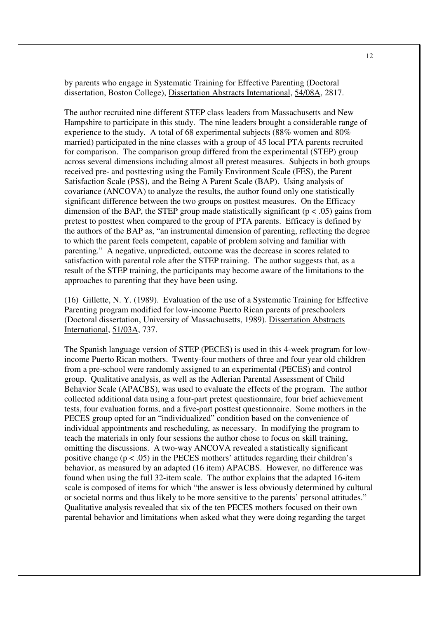by parents who engage in Systematic Training for Effective Parenting (Doctoral dissertation, Boston College), Dissertation Abstracts International, 54/08A, 2817.

The author recruited nine different STEP class leaders from Massachusetts and New Hampshire to participate in this study. The nine leaders brought a considerable range of experience to the study. A total of 68 experimental subjects (88% women and 80% married) participated in the nine classes with a group of 45 local PTA parents recruited for comparison. The comparison group differed from the experimental (STEP) group across several dimensions including almost all pretest measures. Subjects in both groups received pre- and posttesting using the Family Environment Scale (FES), the Parent Satisfaction Scale (PSS), and the Being A Parent Scale (BAP). Using analysis of covariance (ANCOVA) to analyze the results, the author found only one statistically significant difference between the two groups on posttest measures. On the Efficacy dimension of the BAP, the STEP group made statistically significant ( $p < .05$ ) gains from pretest to posttest when compared to the group of PTA parents. Efficacy is defined by the authors of the BAP as, "an instrumental dimension of parenting, reflecting the degree to which the parent feels competent, capable of problem solving and familiar with parenting." A negative, unpredicted, outcome was the decrease in scores related to satisfaction with parental role after the STEP training. The author suggests that, as a result of the STEP training, the participants may become aware of the limitations to the approaches to parenting that they have been using.

(16) Gillette, N. Y. (1989). Evaluation of the use of a Systematic Training for Effective Parenting program modified for low-income Puerto Rican parents of preschoolers (Doctoral dissertation, University of Massachusetts, 1989). Dissertation Abstracts International, 51/03A, 737.

The Spanish language version of STEP (PECES) is used in this 4-week program for lowincome Puerto Rican mothers. Twenty-four mothers of three and four year old children from a pre-school were randomly assigned to an experimental (PECES) and control group. Qualitative analysis, as well as the Adlerian Parental Assessment of Child Behavior Scale (APACBS), was used to evaluate the effects of the program. The author collected additional data using a four-part pretest questionnaire, four brief achievement tests, four evaluation forms, and a five-part posttest questionnaire. Some mothers in the PECES group opted for an "individualized" condition based on the convenience of individual appointments and rescheduling, as necessary. In modifying the program to teach the materials in only four sessions the author chose to focus on skill training, omitting the discussions. A two-way ANCOVA revealed a statistically significant positive change ( $p < .05$ ) in the PECES mothers' attitudes regarding their children's behavior, as measured by an adapted (16 item) APACBS. However, no difference was found when using the full 32-item scale. The author explains that the adapted 16-item scale is composed of items for which "the answer is less obviously determined by cultural or societal norms and thus likely to be more sensitive to the parents' personal attitudes." Qualitative analysis revealed that six of the ten PECES mothers focused on their own parental behavior and limitations when asked what they were doing regarding the target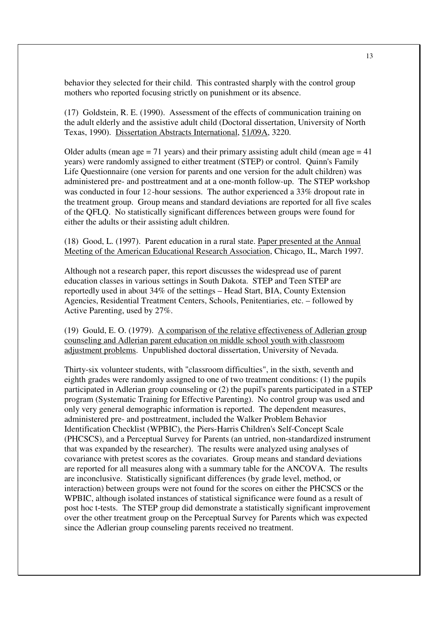behavior they selected for their child. This contrasted sharply with the control group mothers who reported focusing strictly on punishment or its absence.

(17) Goldstein, R. E. (1990). Assessment of the effects of communication training on the adult elderly and the assistive adult child (Doctoral dissertation, University of North Texas, 1990). Dissertation Abstracts International, 51/09A, 3220.

Older adults (mean age  $= 71$  years) and their primary assisting adult child (mean age  $= 41$ ) years) were randomly assigned to either treatment (STEP) or control. Quinn's Family Life Questionnaire (one version for parents and one version for the adult children) was administered pre- and posttreatment and at a one-month follow-up. The STEP workshop was conducted in four 12-hour sessions. The author experienced a 33% dropout rate in the treatment group. Group means and standard deviations are reported for all five scales of the QFLQ. No statistically significant differences between groups were found for either the adults or their assisting adult children.

(18) Good, L. (1997). Parent education in a rural state. Paper presented at the Annual Meeting of the American Educational Research Association, Chicago, IL, March 1997.

Although not a research paper, this report discusses the widespread use of parent education classes in various settings in South Dakota. STEP and Teen STEP are reportedly used in about 34% of the settings – Head Start, BIA, County Extension Agencies, Residential Treatment Centers, Schools, Penitentiaries, etc. – followed by Active Parenting, used by 27%.

(19) Gould, E. O. (1979). A comparison of the relative effectiveness of Adlerian group counseling and Adlerian parent education on middle school youth with classroom adjustment problems. Unpublished doctoral dissertation, University of Nevada.

Thirty-six volunteer students, with "classroom difficulties", in the sixth, seventh and eighth grades were randomly assigned to one of two treatment conditions: (1) the pupils participated in Adlerian group counseling or (2) the pupil's parents participated in a STEP program (Systematic Training for Effective Parenting). No control group was used and only very general demographic information is reported. The dependent measures, administered pre- and posttreatment, included the Walker Problem Behavior Identification Checklist (WPBIC), the Piers-Harris Children's Self-Concept Scale (PHCSCS), and a Perceptual Survey for Parents (an untried, non-standardized instrument that was expanded by the researcher). The results were analyzed using analyses of covariance with pretest scores as the covariates. Group means and standard deviations are reported for all measures along with a summary table for the ANCOVA. The results are inconclusive. Statistically significant differences (by grade level, method, or interaction) between groups were not found for the scores on either the PHCSCS or the WPBIC, although isolated instances of statistical significance were found as a result of post hoc t-tests. The STEP group did demonstrate a statistically significant improvement over the other treatment group on the Perceptual Survey for Parents which was expected since the Adlerian group counseling parents received no treatment.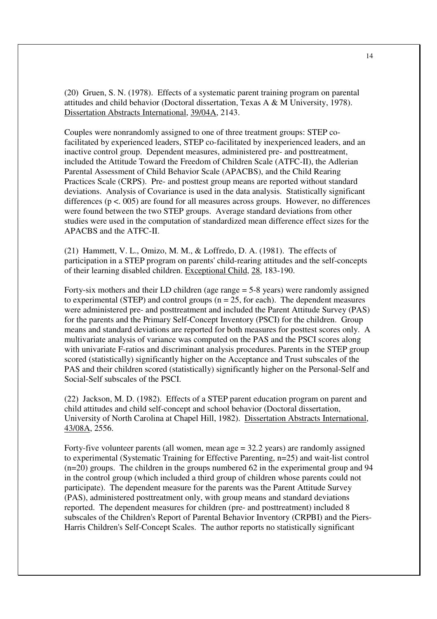(20) Gruen, S. N. (1978). Effects of a systematic parent training program on parental attitudes and child behavior (Doctoral dissertation, Texas A & M University, 1978). Dissertation Abstracts International, 39/04A, 2143.

Couples were nonrandomly assigned to one of three treatment groups: STEP cofacilitated by experienced leaders, STEP co-facilitated by inexperienced leaders, and an inactive control group. Dependent measures, administered pre- and posttreatment, included the Attitude Toward the Freedom of Children Scale (ATFC-II), the Adlerian Parental Assessment of Child Behavior Scale (APACBS), and the Child Rearing Practices Scale (CRPS). Pre- and posttest group means are reported without standard deviations. Analysis of Covariance is used in the data analysis. Statistically significant differences  $(p < 0.005)$  are found for all measures across groups. However, no differences were found between the two STEP groups. Average standard deviations from other studies were used in the computation of standardized mean difference effect sizes for the APACBS and the ATFC-II.

(21) Hammett, V. L., Omizo, M. M., & Loffredo, D. A. (1981). The effects of participation in a STEP program on parents' child-rearing attitudes and the self-concepts of their learning disabled children. Exceptional Child, 28, 183-190.

Forty-six mothers and their LD children (age range = 5-8 years) were randomly assigned to experimental (STEP) and control groups ( $n = 25$ , for each). The dependent measures were administered pre- and posttreatment and included the Parent Attitude Survey (PAS) for the parents and the Primary Self-Concept Inventory (PSCI) for the children. Group means and standard deviations are reported for both measures for posttest scores only. A multivariate analysis of variance was computed on the PAS and the PSCI scores along with univariate F-ratios and discriminant analysis procedures. Parents in the STEP group scored (statistically) significantly higher on the Acceptance and Trust subscales of the PAS and their children scored (statistically) significantly higher on the Personal-Self and Social-Self subscales of the PSCI.

(22) Jackson, M. D. (1982). Effects of a STEP parent education program on parent and child attitudes and child self-concept and school behavior (Doctoral dissertation, University of North Carolina at Chapel Hill, 1982). Dissertation Abstracts International, 43/08A, 2556.

Forty-five volunteer parents (all women, mean age = 32.2 years) are randomly assigned to experimental (Systematic Training for Effective Parenting, n=25) and wait-list control (n=20) groups. The children in the groups numbered 62 in the experimental group and 94 in the control group (which included a third group of children whose parents could not participate). The dependent measure for the parents was the Parent Attitude Survey (PAS), administered posttreatment only, with group means and standard deviations reported. The dependent measures for children (pre- and posttreatment) included 8 subscales of the Children's Report of Parental Behavior Inventory (CRPBI) and the Piers-Harris Children's Self-Concept Scales. The author reports no statistically significant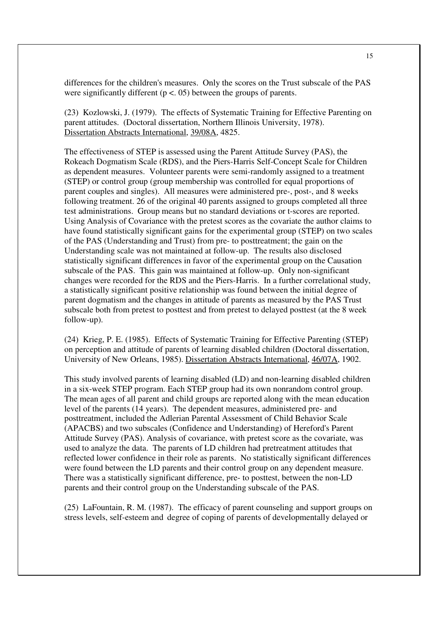differences for the children's measures. Only the scores on the Trust subscale of the PAS were significantly different ( $p < 0.05$ ) between the groups of parents.

(23) Kozlowski, J. (1979). The effects of Systematic Training for Effective Parenting on parent attitudes. (Doctoral dissertation, Northern Illinois University, 1978). Dissertation Abstracts International, 39/08A, 4825.

The effectiveness of STEP is assessed using the Parent Attitude Survey (PAS), the Rokeach Dogmatism Scale (RDS), and the Piers-Harris Self-Concept Scale for Children as dependent measures. Volunteer parents were semi-randomly assigned to a treatment (STEP) or control group (group membership was controlled for equal proportions of parent couples and singles). All measures were administered pre-, post-, and 8 weeks following treatment. 26 of the original 40 parents assigned to groups completed all three test administrations. Group means but no standard deviations or t-scores are reported. Using Analysis of Covariance with the pretest scores as the covariate the author claims to have found statistically significant gains for the experimental group (STEP) on two scales of the PAS (Understanding and Trust) from pre- to posttreatment; the gain on the Understanding scale was not maintained at follow-up. The results also disclosed statistically significant differences in favor of the experimental group on the Causation subscale of the PAS. This gain was maintained at follow-up. Only non-significant changes were recorded for the RDS and the Piers-Harris. In a further correlational study, a statistically significant positive relationship was found between the initial degree of parent dogmatism and the changes in attitude of parents as measured by the PAS Trust subscale both from pretest to posttest and from pretest to delayed posttest (at the 8 week follow-up).

(24) Krieg, P. E. (1985). Effects of Systematic Training for Effective Parenting (STEP) on perception and attitude of parents of learning disabled children (Doctoral dissertation, University of New Orleans, 1985). Dissertation Abstracts International, 46/07A, 1902.

This study involved parents of learning disabled (LD) and non-learning disabled children in a six-week STEP program. Each STEP group had its own nonrandom control group. The mean ages of all parent and child groups are reported along with the mean education level of the parents (14 years). The dependent measures, administered pre- and posttreatment, included the Adlerian Parental Assessment of Child Behavior Scale (APACBS) and two subscales (Confidence and Understanding) of Hereford's Parent Attitude Survey (PAS). Analysis of covariance, with pretest score as the covariate, was used to analyze the data. The parents of LD children had pretreatment attitudes that reflected lower confidence in their role as parents. No statistically significant differences were found between the LD parents and their control group on any dependent measure. There was a statistically significant difference, pre- to posttest, between the non-LD parents and their control group on the Understanding subscale of the PAS.

(25) LaFountain, R. M. (1987). The efficacy of parent counseling and support groups on stress levels, self-esteem and degree of coping of parents of developmentally delayed or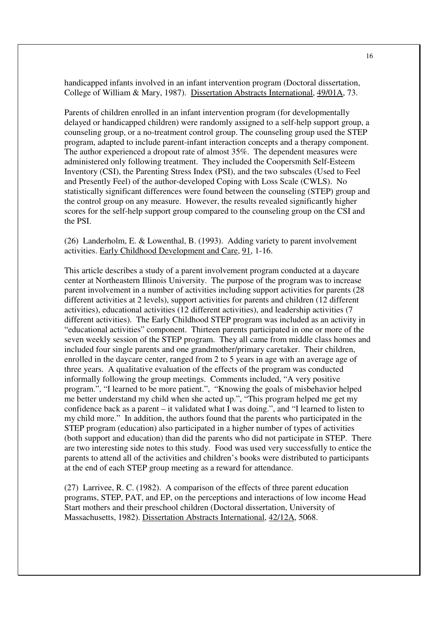handicapped infants involved in an infant intervention program (Doctoral dissertation, College of William & Mary, 1987). Dissertation Abstracts International, 49/01A, 73.

Parents of children enrolled in an infant intervention program (for developmentally delayed or handicapped children) were randomly assigned to a self-help support group, a counseling group, or a no-treatment control group. The counseling group used the STEP program, adapted to include parent-infant interaction concepts and a therapy component. The author experienced a dropout rate of almost 35%. The dependent measures were administered only following treatment. They included the Coopersmith Self-Esteem Inventory (CSI), the Parenting Stress Index (PSI), and the two subscales (Used to Feel and Presently Feel) of the author-developed Coping with Loss Scale (CWLS). No statistically significant differences were found between the counseling (STEP) group and the control group on any measure. However, the results revealed significantly higher scores for the self-help support group compared to the counseling group on the CSI and the PSI.

(26) Landerholm, E. & Lowenthal, B. (1993). Adding variety to parent involvement activities. Early Childhood Development and Care, 91, 1-16.

This article describes a study of a parent involvement program conducted at a daycare center at Northeastern Illinois University. The purpose of the program was to increase parent involvement in a number of activities including support activities for parents (28 different activities at 2 levels), support activities for parents and children (12 different activities), educational activities (12 different activities), and leadership activities (7 different activities). The Early Childhood STEP program was included as an activity in "educational activities" component. Thirteen parents participated in one or more of the seven weekly session of the STEP program. They all came from middle class homes and included four single parents and one grandmother/primary caretaker. Their children, enrolled in the daycare center, ranged from 2 to 5 years in age with an average age of three years. A qualitative evaluation of the effects of the program was conducted informally following the group meetings. Comments included, "A very positive program.", "I learned to be more patient.", "Knowing the goals of misbehavior helped me better understand my child when she acted up.", "This program helped me get my confidence back as a parent – it validated what I was doing.", and "I learned to listen to my child more." In addition, the authors found that the parents who participated in the STEP program (education) also participated in a higher number of types of activities (both support and education) than did the parents who did not participate in STEP. There are two interesting side notes to this study. Food was used very successfully to entice the parents to attend all of the activities and children's books were distributed to participants at the end of each STEP group meeting as a reward for attendance.

(27) Larrivee, R. C. (1982). A comparison of the effects of three parent education programs, STEP, PAT, and EP, on the perceptions and interactions of low income Head Start mothers and their preschool children (Doctoral dissertation, University of Massachusetts, 1982). Dissertation Abstracts International, 42/12A, 5068.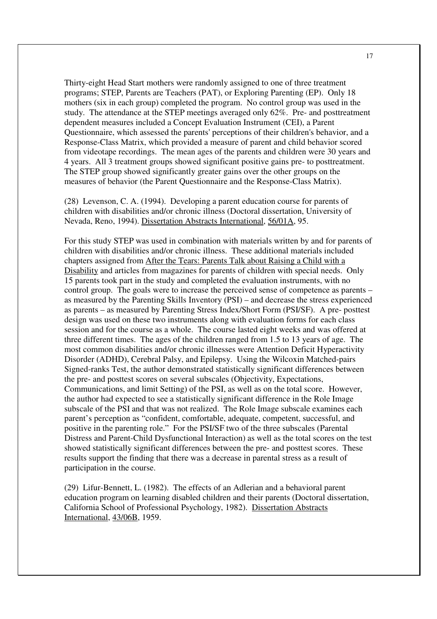Thirty-eight Head Start mothers were randomly assigned to one of three treatment programs; STEP, Parents are Teachers (PAT), or Exploring Parenting (EP). Only 18 mothers (six in each group) completed the program. No control group was used in the study. The attendance at the STEP meetings averaged only 62%. Pre- and posttreatment dependent measures included a Concept Evaluation Instrument (CEI), a Parent Questionnaire, which assessed the parents' perceptions of their children's behavior, and a Response-Class Matrix, which provided a measure of parent and child behavior scored from videotape recordings. The mean ages of the parents and children were 30 years and 4 years. All 3 treatment groups showed significant positive gains pre- to posttreatment. The STEP group showed significantly greater gains over the other groups on the measures of behavior (the Parent Questionnaire and the Response-Class Matrix).

(28) Levenson, C. A. (1994). Developing a parent education course for parents of children with disabilities and/or chronic illness (Doctoral dissertation, University of Nevada, Reno, 1994). Dissertation Abstracts International, 56/01A, 95.

For this study STEP was used in combination with materials written by and for parents of children with disabilities and/or chronic illness. These additional materials included chapters assigned from After the Tears: Parents Talk about Raising a Child with a Disability and articles from magazines for parents of children with special needs. Only 15 parents took part in the study and completed the evaluation instruments, with no control group. The goals were to increase the perceived sense of competence as parents – as measured by the Parenting Skills Inventory (PSI) – and decrease the stress experienced as parents – as measured by Parenting Stress Index/Short Form (PSI/SF). A pre- posttest design was used on these two instruments along with evaluation forms for each class session and for the course as a whole. The course lasted eight weeks and was offered at three different times. The ages of the children ranged from 1.5 to 13 years of age. The most common disabilities and/or chronic illnesses were Attention Deficit Hyperactivity Disorder (ADHD), Cerebral Palsy, and Epilepsy. Using the Wilcoxin Matched-pairs Signed-ranks Test, the author demonstrated statistically significant differences between the pre- and posttest scores on several subscales (Objectivity, Expectations, Communications, and limit Setting) of the PSI, as well as on the total score. However, the author had expected to see a statistically significant difference in the Role Image subscale of the PSI and that was not realized. The Role Image subscale examines each parent's perception as "confident, comfortable, adequate, competent, successful, and positive in the parenting role." For the PSI/SF two of the three subscales (Parental Distress and Parent-Child Dysfunctional Interaction) as well as the total scores on the test showed statistically significant differences between the pre- and posttest scores. These results support the finding that there was a decrease in parental stress as a result of participation in the course.

(29) Lifur-Bennett, L. (1982). The effects of an Adlerian and a behavioral parent education program on learning disabled children and their parents (Doctoral dissertation, California School of Professional Psychology, 1982). Dissertation Abstracts International, 43/06B, 1959.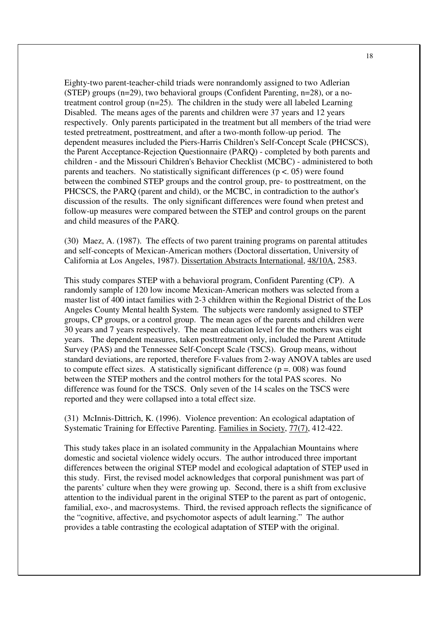Eighty-two parent-teacher-child triads were nonrandomly assigned to two Adlerian (STEP) groups (n=29), two behavioral groups (Confident Parenting, n=28), or a notreatment control group (n=25). The children in the study were all labeled Learning Disabled. The means ages of the parents and children were 37 years and 12 years respectively. Only parents participated in the treatment but all members of the triad were tested pretreatment, posttreatment, and after a two-month follow-up period. The dependent measures included the Piers-Harris Children's Self-Concept Scale (PHCSCS), the Parent Acceptance-Rejection Questionnaire (PARQ) - completed by both parents and children - and the Missouri Children's Behavior Checklist (MCBC) - administered to both parents and teachers. No statistically significant differences ( $p < .05$ ) were found between the combined STEP groups and the control group, pre- to posttreatment, on the PHCSCS, the PARQ (parent and child), or the MCBC, in contradiction to the author's discussion of the results. The only significant differences were found when pretest and follow-up measures were compared between the STEP and control groups on the parent and child measures of the PARQ.

(30) Maez, A. (1987). The effects of two parent training programs on parental attitudes and self-concepts of Mexican-American mothers (Doctoral dissertation, University of California at Los Angeles, 1987). Dissertation Abstracts International, 48/10A, 2583.

This study compares STEP with a behavioral program, Confident Parenting (CP). A randomly sample of 120 low income Mexican-American mothers was selected from a master list of 400 intact families with 2-3 children within the Regional District of the Los Angeles County Mental health System. The subjects were randomly assigned to STEP groups, CP groups, or a control group. The mean ages of the parents and children were 30 years and 7 years respectively. The mean education level for the mothers was eight years. The dependent measures, taken posttreatment only, included the Parent Attitude Survey (PAS) and the Tennessee Self-Concept Scale (TSCS). Group means, without standard deviations, are reported, therefore F-values from 2-way ANOVA tables are used to compute effect sizes. A statistically significant difference ( $p = 0.008$ ) was found between the STEP mothers and the control mothers for the total PAS scores. No difference was found for the TSCS. Only seven of the 14 scales on the TSCS were reported and they were collapsed into a total effect size.

(31) McInnis-Dittrich, K. (1996). Violence prevention: An ecological adaptation of Systematic Training for Effective Parenting. Families in Society, 77(7), 412-422.

This study takes place in an isolated community in the Appalachian Mountains where domestic and societal violence widely occurs. The author introduced three important differences between the original STEP model and ecological adaptation of STEP used in this study. First, the revised model acknowledges that corporal punishment was part of the parents' culture when they were growing up. Second, there is a shift from exclusive attention to the individual parent in the original STEP to the parent as part of ontogenic, familial, exo-, and macrosystems. Third, the revised approach reflects the significance of the "cognitive, affective, and psychomotor aspects of adult learning." The author provides a table contrasting the ecological adaptation of STEP with the original.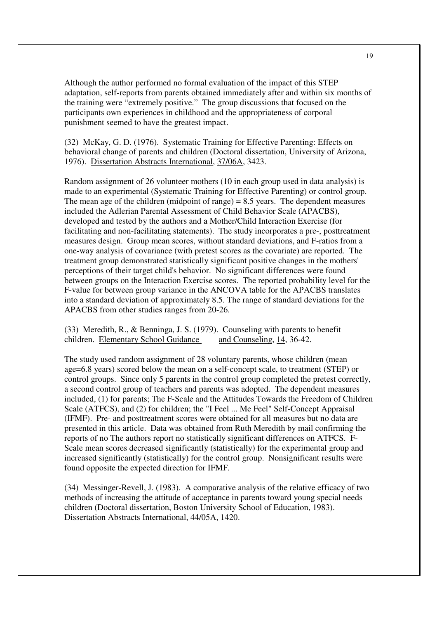Although the author performed no formal evaluation of the impact of this STEP adaptation, self-reports from parents obtained immediately after and within six months of the training were "extremely positive." The group discussions that focused on the participants own experiences in childhood and the appropriateness of corporal punishment seemed to have the greatest impact.

(32) McKay, G. D. (1976). Systematic Training for Effective Parenting: Effects on behavioral change of parents and children (Doctoral dissertation, University of Arizona, 1976). Dissertation Abstracts International, 37/06A, 3423.

Random assignment of 26 volunteer mothers (10 in each group used in data analysis) is made to an experimental (Systematic Training for Effective Parenting) or control group. The mean age of the children (midpoint of range)  $= 8.5$  years. The dependent measures included the Adlerian Parental Assessment of Child Behavior Scale (APACBS), developed and tested by the authors and a Mother/Child Interaction Exercise (for facilitating and non-facilitating statements). The study incorporates a pre-, posttreatment measures design. Group mean scores, without standard deviations, and F-ratios from a one-way analysis of covariance (with pretest scores as the covariate) are reported. The treatment group demonstrated statistically significant positive changes in the mothers' perceptions of their target child's behavior. No significant differences were found between groups on the Interaction Exercise scores. The reported probability level for the F-value for between group variance in the ANCOVA table for the APACBS translates into a standard deviation of approximately 8.5. The range of standard deviations for the APACBS from other studies ranges from 20-26.

(33)Meredith, R., & Benninga, J. S. (1979). Counseling with parents to benefit children. Elementary School Guidance and Counseling, 14, 36-42.

The study used random assignment of 28 voluntary parents, whose children (mean age=6.8 years) scored below the mean on a self-concept scale, to treatment (STEP) or control groups. Since only 5 parents in the control group completed the pretest correctly, a second control group of teachers and parents was adopted. The dependent measures included, (1) for parents; The F-Scale and the Attitudes Towards the Freedom of Children Scale (ATFCS), and (2) for children; the "I Feel ... Me Feel" Self-Concept Appraisal (IFMF). Pre- and posttreatment scores were obtained for all measures but no data are presented in this article. Data was obtained from Ruth Meredith by mail confirming the reports of no The authors report no statistically significant differences on ATFCS. F-Scale mean scores decreased significantly (statistically) for the experimental group and increased significantly (statistically) for the control group. Nonsignificant results were found opposite the expected direction for IFMF.

(34) Messinger-Revell, J. (1983). A comparative analysis of the relative efficacy of two methods of increasing the attitude of acceptance in parents toward young special needs children (Doctoral dissertation, Boston University School of Education, 1983). Dissertation Abstracts International, 44/05A, 1420.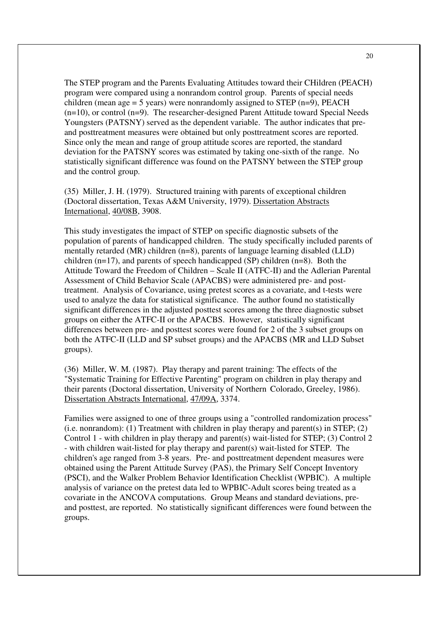The STEP program and the Parents Evaluating Attitudes toward their CHildren (PEACH) program were compared using a nonrandom control group. Parents of special needs children (mean age = 5 years) were nonrandomly assigned to STEP  $(n=9)$ , PEACH (n=10), or control (n=9). The researcher-designed Parent Attitude toward Special Needs Youngsters (PATSNY) served as the dependent variable. The author indicates that preand posttreatment measures were obtained but only posttreatment scores are reported. Since only the mean and range of group attitude scores are reported, the standard deviation for the PATSNY scores was estimated by taking one-sixth of the range. No statistically significant difference was found on the PATSNY between the STEP group and the control group.

(35) Miller, J. H. (1979). Structured training with parents of exceptional children (Doctoral dissertation, Texas A&M University, 1979). Dissertation Abstracts International, 40/08B, 3908.

This study investigates the impact of STEP on specific diagnostic subsets of the population of parents of handicapped children. The study specifically included parents of mentally retarded (MR) children (n=8), parents of language learning disabled (LLD) children (n=17), and parents of speech handicapped (SP) children (n=8). Both the Attitude Toward the Freedom of Children – Scale II (ATFC-II) and the Adlerian Parental Assessment of Child Behavior Scale (APACBS) were administered pre- and posttreatment. Analysis of Covariance, using pretest scores as a covariate, and t-tests were used to analyze the data for statistical significance. The author found no statistically significant differences in the adjusted posttest scores among the three diagnostic subset groups on either the ATFC-II or the APACBS. However, statistically significant differences between pre- and posttest scores were found for 2 of the 3 subset groups on both the ATFC-II (LLD and SP subset groups) and the APACBS (MR and LLD Subset groups).

(36) Miller, W. M. (1987). Play therapy and parent training: The effects of the "Systematic Training for Effective Parenting" program on children in play therapy and their parents (Doctoral dissertation, University of Northern Colorado, Greeley, 1986). Dissertation Abstracts International, 47/09A, 3374.

Families were assigned to one of three groups using a "controlled randomization process" (i.e. nonrandom): (1) Treatment with children in play therapy and parent(s) in STEP; (2) Control 1 - with children in play therapy and parent(s) wait-listed for STEP; (3) Control 2 - with children wait-listed for play therapy and parent(s) wait-listed for STEP. The children's age ranged from 3-8 years. Pre- and posttreatment dependent measures were obtained using the Parent Attitude Survey (PAS), the Primary Self Concept Inventory (PSCI), and the Walker Problem Behavior Identification Checklist (WPBIC). A multiple analysis of variance on the pretest data led to WPBIC-Adult scores being treated as a covariate in the ANCOVA computations. Group Means and standard deviations, preand posttest, are reported. No statistically significant differences were found between the groups.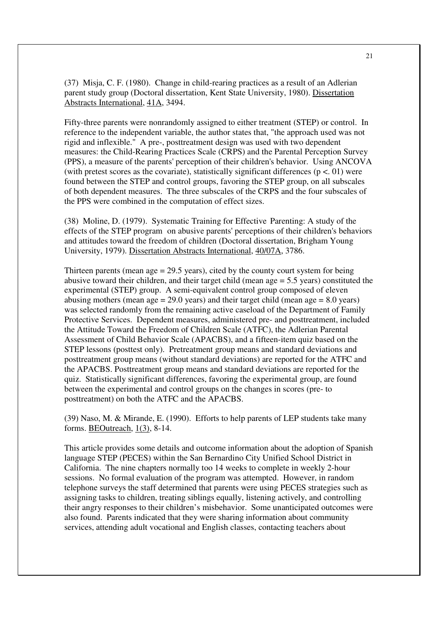(37) Misja, C. F. (1980). Change in child-rearing practices as a result of an Adlerian parent study group (Doctoral dissertation, Kent State University, 1980). Dissertation Abstracts International, 41A, 3494.

Fifty-three parents were nonrandomly assigned to either treatment (STEP) or control. In reference to the independent variable, the author states that, "the approach used was not rigid and inflexible." A pre-, posttreatment design was used with two dependent measures: the Child-Rearing Practices Scale (CRPS) and the Parental Perception Survey (PPS), a measure of the parents' perception of their children's behavior. Using ANCOVA (with pretest scores as the covariate), statistically significant differences ( $p < 01$ ) were found between the STEP and control groups, favoring the STEP group, on all subscales of both dependent measures. The three subscales of the CRPS and the four subscales of the PPS were combined in the computation of effect sizes.

(38) Moline, D. (1979). Systematic Training for Effective Parenting: A study of the effects of the STEP program on abusive parents' perceptions of their children's behaviors and attitudes toward the freedom of children (Doctoral dissertation, Brigham Young University, 1979). Dissertation Abstracts International, 40/07A, 3786.

Thirteen parents (mean  $\text{age} = 29.5$  years), cited by the county court system for being abusive toward their children, and their target child (mean age = 5.5 years) constituted the experimental (STEP) group. A semi-equivalent control group composed of eleven abusing mothers (mean age  $= 29.0$  years) and their target child (mean age  $= 8.0$  years) was selected randomly from the remaining active caseload of the Department of Family Protective Services. Dependent measures, administered pre- and posttreatment, included the Attitude Toward the Freedom of Children Scale (ATFC), the Adlerian Parental Assessment of Child Behavior Scale (APACBS), and a fifteen-item quiz based on the STEP lessons (posttest only). Pretreatment group means and standard deviations and posttreatment group means (without standard deviations) are reported for the ATFC and the APACBS. Posttreatment group means and standard deviations are reported for the quiz. Statistically significant differences, favoring the experimental group, are found between the experimental and control groups on the changes in scores (pre- to posttreatment) on both the ATFC and the APACBS.

(39) Naso, M. & Mirande, E. (1990). Efforts to help parents of LEP students take many forms. BEOutreach, 1(3), 8-14.

This article provides some details and outcome information about the adoption of Spanish language STEP (PECES) within the San Bernardino City Unified School District in California. The nine chapters normally too 14 weeks to complete in weekly 2-hour sessions. No formal evaluation of the program was attempted. However, in random telephone surveys the staff determined that parents were using PECES strategies such as assigning tasks to children, treating siblings equally, listening actively, and controlling their angry responses to their children's misbehavior. Some unanticipated outcomes were also found. Parents indicated that they were sharing information about community services, attending adult vocational and English classes, contacting teachers about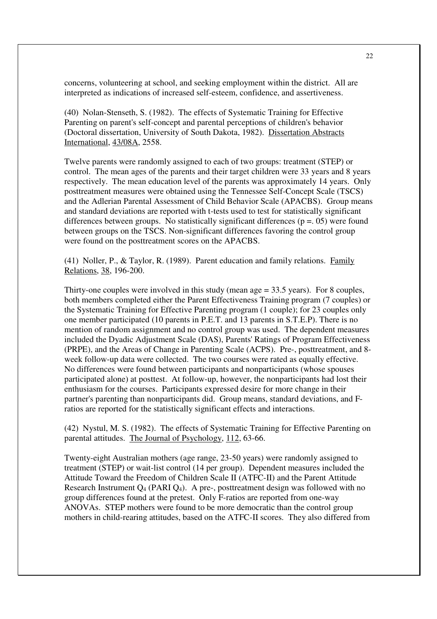concerns, volunteering at school, and seeking employment within the district. All are interpreted as indications of increased self-esteem, confidence, and assertiveness.

(40) Nolan-Stenseth, S. (1982). The effects of Systematic Training for Effective Parenting on parent's self-concept and parental perceptions of children's behavior (Doctoral dissertation, University of South Dakota, 1982). Dissertation Abstracts International, 43/08A, 2558.

Twelve parents were randomly assigned to each of two groups: treatment (STEP) or control. The mean ages of the parents and their target children were 33 years and 8 years respectively. The mean education level of the parents was approximately 14 years. Only posttreatment measures were obtained using the Tennessee Self-Concept Scale (TSCS) and the Adlerian Parental Assessment of Child Behavior Scale (APACBS). Group means and standard deviations are reported with t-tests used to test for statistically significant differences between groups. No statistically significant differences ( $p = 0.05$ ) were found between groups on the TSCS. Non-significant differences favoring the control group were found on the posttreatment scores on the APACBS.

(41) Noller, P., & Taylor, R. (1989). Parent education and family relations. Family Relations, 38, 196-200.

Thirty-one couples were involved in this study (mean age  $=$  33.5 years). For 8 couples, both members completed either the Parent Effectiveness Training program (7 couples) or the Systematic Training for Effective Parenting program (1 couple); for 23 couples only one member participated (10 parents in P.E.T. and 13 parents in S.T.E.P). There is no mention of random assignment and no control group was used. The dependent measures included the Dyadic Adjustment Scale (DAS), Parents' Ratings of Program Effectiveness (PRPE), and the Areas of Change in Parenting Scale (ACPS). Pre-, posttreatment, and 8 week follow-up data were collected. The two courses were rated as equally effective. No differences were found between participants and nonparticipants (whose spouses participated alone) at posttest. At follow-up, however, the nonparticipants had lost their enthusiasm for the courses. Participants expressed desire for more change in their partner's parenting than nonparticipants did. Group means, standard deviations, and Fratios are reported for the statistically significant effects and interactions.

(42) Nystul, M. S. (1982). The effects of Systematic Training for Effective Parenting on parental attitudes. The Journal of Psychology, 112, 63-66.

Twenty-eight Australian mothers (age range, 23-50 years) were randomly assigned to treatment (STEP) or wait-list control (14 per group). Dependent measures included the Attitude Toward the Freedom of Children Scale II (ATFC-II) and the Parent Attitude Research Instrument  $Q_4$  (PARI  $Q_4$ ). A pre-, posttreatment design was followed with no group differences found at the pretest. Only F-ratios are reported from one-way ANOVAs. STEP mothers were found to be more democratic than the control group mothers in child-rearing attitudes, based on the ATFC-II scores. They also differed from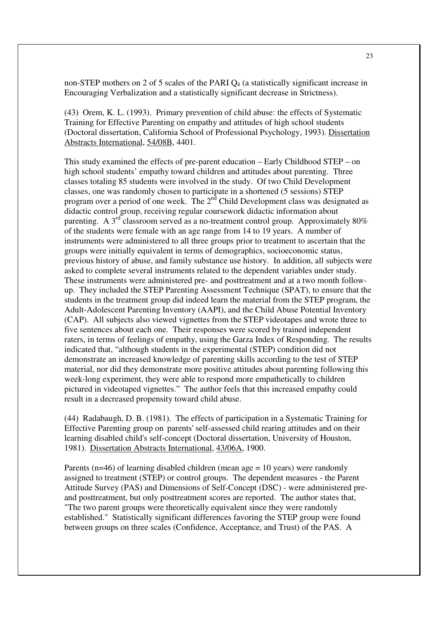non-STEP mothers on 2 of 5 scales of the PARI  $Q_4$  (a statistically significant increase in Encouraging Verbalization and a statistically significant decrease in Strictness).

(43) Orem, K. L. (1993). Primary prevention of child abuse: the effects of Systematic Training for Effective Parenting on empathy and attitudes of high school students (Doctoral dissertation, California School of Professional Psychology, 1993). Dissertation Abstracts International, 54/08B, 4401.

This study examined the effects of pre-parent education – Early Childhood STEP – on high school students' empathy toward children and attitudes about parenting. Three classes totaling 85 students were involved in the study. Of two Child Development classes, one was randomly chosen to participate in a shortened (5 sessions) STEP program over a period of one week. The  $2<sup>nd</sup>$  Child Development class was designated as didactic control group, receiving regular coursework didactic information about parenting. A  $3<sup>rd</sup>$  classroom served as a no-treatment control group. Approximately 80% of the students were female with an age range from 14 to 19 years. A number of instruments were administered to all three groups prior to treatment to ascertain that the groups were initially equivalent in terms of demographics, socioeconomic status, previous history of abuse, and family substance use history. In addition, all subjects were asked to complete several instruments related to the dependent variables under study. These instruments were administered pre- and posttreatment and at a two month followup. They included the STEP Parenting Assessment Technique (SPAT), to ensure that the students in the treatment group did indeed learn the material from the STEP program, the Adult-Adolescent Parenting Inventory (AAPI), and the Child Abuse Potential Inventory (CAP). All subjects also viewed vignettes from the STEP videotapes and wrote three to five sentences about each one. Their responses were scored by trained independent raters, in terms of feelings of empathy, using the Garza Index of Responding. The results indicated that, "although students in the experimental (STEP) condition did not demonstrate an increased knowledge of parenting skills according to the test of STEP material, nor did they demonstrate more positive attitudes about parenting following this week-long experiment, they were able to respond more empathetically to children pictured in videotaped vignettes." The author feels that this increased empathy could result in a decreased propensity toward child abuse.

(44) Radabaugh, D. B. (1981). The effects of participation in a Systematic Training for Effective Parenting group on parents' self-assessed child rearing attitudes and on their learning disabled child's self-concept (Doctoral dissertation, University of Houston, 1981). Dissertation Abstracts International, 43/06A, 1900.

Parents (n=46) of learning disabled children (mean age  $= 10$  years) were randomly assigned to treatment (STEP) or control groups. The dependent measures - the Parent Attitude Survey (PAS) and Dimensions of Self-Concept (DSC) - were administered preand posttreatment, but only posttreatment scores are reported. The author states that, "The two parent groups were theoretically equivalent since they were randomly established." Statistically significant differences favoring the STEP group were found between groups on three scales (Confidence, Acceptance, and Trust) of the PAS. A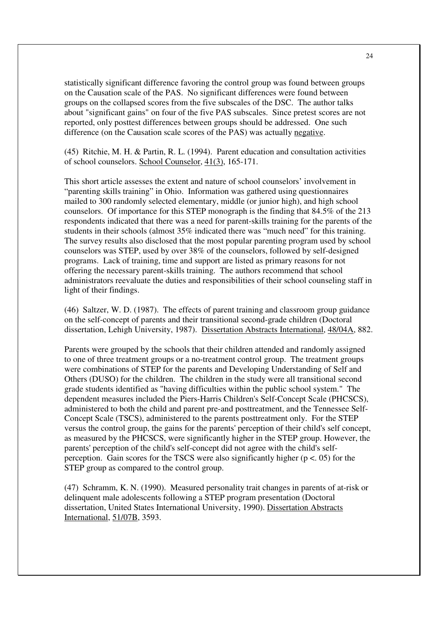statistically significant difference favoring the control group was found between groups on the Causation scale of the PAS. No significant differences were found between groups on the collapsed scores from the five subscales of the DSC. The author talks about "significant gains" on four of the five PAS subscales. Since pretest scores are not reported, only posttest differences between groups should be addressed. One such difference (on the Causation scale scores of the PAS) was actually negative.

(45) Ritchie, M. H. & Partin, R. L. (1994). Parent education and consultation activities of school counselors. School Counselor, 41(3), 165-171.

This short article assesses the extent and nature of school counselors' involvement in "parenting skills training" in Ohio. Information was gathered using questionnaires mailed to 300 randomly selected elementary, middle (or junior high), and high school counselors. Of importance for this STEP monograph is the finding that 84.5% of the 213 respondents indicated that there was a need for parent-skills training for the parents of the students in their schools (almost 35% indicated there was "much need" for this training. The survey results also disclosed that the most popular parenting program used by school counselors was STEP, used by over 38% of the counselors, followed by self-designed programs. Lack of training, time and support are listed as primary reasons for not offering the necessary parent-skills training. The authors recommend that school administrators reevaluate the duties and responsibilities of their school counseling staff in light of their findings.

(46) Saltzer, W. D. (1987). The effects of parent training and classroom group guidance on the self-concept of parents and their transitional second-grade children (Doctoral dissertation, Lehigh University, 1987). Dissertation Abstracts International, 48/04A, 882.

Parents were grouped by the schools that their children attended and randomly assigned to one of three treatment groups or a no-treatment control group. The treatment groups were combinations of STEP for the parents and Developing Understanding of Self and Others (DUSO) for the children. The children in the study were all transitional second grade students identified as "having difficulties within the public school system." The dependent measures included the Piers-Harris Children's Self-Concept Scale (PHCSCS), administered to both the child and parent pre-and posttreatment, and the Tennessee Self-Concept Scale (TSCS), administered to the parents posttreatment only. For the STEP versus the control group, the gains for the parents' perception of their child's self concept, as measured by the PHCSCS, were significantly higher in the STEP group. However, the parents' perception of the child's self-concept did not agree with the child's selfperception. Gain scores for the TSCS were also significantly higher ( $p < 0.05$ ) for the STEP group as compared to the control group.

(47) Schramm, K. N. (1990). Measured personality trait changes in parents of at-risk or delinquent male adolescents following a STEP program presentation (Doctoral dissertation, United States International University, 1990). Dissertation Abstracts International, 51/07B, 3593.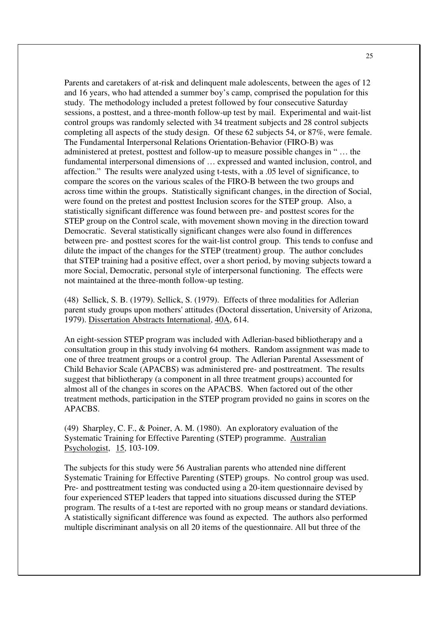Parents and caretakers of at-risk and delinquent male adolescents, between the ages of 12 and 16 years, who had attended a summer boy's camp, comprised the population for this study. The methodology included a pretest followed by four consecutive Saturday sessions, a posttest, and a three-month follow-up test by mail. Experimental and wait-list control groups was randomly selected with 34 treatment subjects and 28 control subjects completing all aspects of the study design. Of these 62 subjects 54, or 87%, were female. The Fundamental Interpersonal Relations Orientation-Behavior (FIRO-B) was administered at pretest, posttest and follow-up to measure possible changes in " … the fundamental interpersonal dimensions of … expressed and wanted inclusion, control, and affection." The results were analyzed using t-tests, with a .05 level of significance, to compare the scores on the various scales of the FIRO-B between the two groups and across time within the groups. Statistically significant changes, in the direction of Social, were found on the pretest and posttest Inclusion scores for the STEP group. Also, a statistically significant difference was found between pre- and posttest scores for the STEP group on the Control scale, with movement shown moving in the direction toward Democratic. Several statistically significant changes were also found in differences between pre- and posttest scores for the wait-list control group. This tends to confuse and dilute the impact of the changes for the STEP (treatment) group. The author concludes that STEP training had a positive effect, over a short period, by moving subjects toward a more Social, Democratic, personal style of interpersonal functioning. The effects were not maintained at the three-month follow-up testing.

(48) Sellick, S. B. (1979). Sellick, S. (1979). Effects of three modalities for Adlerian parent study groups upon mothers' attitudes (Doctoral dissertation, University of Arizona, 1979). Dissertation Abstracts International, 40A, 614.

An eight-session STEP program was included with Adlerian-based bibliotherapy and a consultation group in this study involving 64 mothers. Random assignment was made to one of three treatment groups or a control group. The Adlerian Parental Assessment of Child Behavior Scale (APACBS) was administered pre- and posttreatment. The results suggest that bibliotherapy (a component in all three treatment groups) accounted for almost all of the changes in scores on the APACBS. When factored out of the other treatment methods, participation in the STEP program provided no gains in scores on the APACBS.

(49) Sharpley, C. F., & Poiner, A. M. (1980). An exploratory evaluation of the Systematic Training for Effective Parenting (STEP) programme. Australian Psychologist, 15, 103-109.

The subjects for this study were 56 Australian parents who attended nine different Systematic Training for Effective Parenting (STEP) groups. No control group was used. Pre- and posttreatment testing was conducted using a 20-item questionnaire devised by four experienced STEP leaders that tapped into situations discussed during the STEP program. The results of a t-test are reported with no group means or standard deviations. A statistically significant difference was found as expected. The authors also performed multiple discriminant analysis on all 20 items of the questionnaire. All but three of the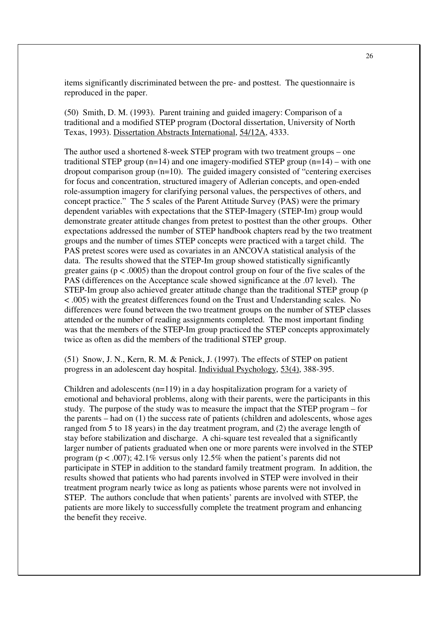items significantly discriminated between the pre- and posttest. The questionnaire is reproduced in the paper.

(50) Smith, D. M. (1993). Parent training and guided imagery: Comparison of a traditional and a modified STEP program (Doctoral dissertation, University of North Texas, 1993). Dissertation Abstracts International, 54/12A, 4333.

The author used a shortened 8-week STEP program with two treatment groups – one traditional STEP group  $(n=14)$  and one imagery-modified STEP group  $(n=14)$  – with one dropout comparison group  $(n=10)$ . The guided imagery consisted of "centering exercises" for focus and concentration, structured imagery of Adlerian concepts, and open-ended role-assumption imagery for clarifying personal values, the perspectives of others, and concept practice." The 5 scales of the Parent Attitude Survey (PAS) were the primary dependent variables with expectations that the STEP-Imagery (STEP-Im) group would demonstrate greater attitude changes from pretest to posttest than the other groups. Other expectations addressed the number of STEP handbook chapters read by the two treatment groups and the number of times STEP concepts were practiced with a target child. The PAS pretest scores were used as covariates in an ANCOVA statistical analysis of the data. The results showed that the STEP-Im group showed statistically significantly greater gains ( $p < .0005$ ) than the dropout control group on four of the five scales of the PAS (differences on the Acceptance scale showed significance at the .07 level). The STEP-Im group also achieved greater attitude change than the traditional STEP group (p < .005) with the greatest differences found on the Trust and Understanding scales. No differences were found between the two treatment groups on the number of STEP classes attended or the number of reading assignments completed. The most important finding was that the members of the STEP-Im group practiced the STEP concepts approximately twice as often as did the members of the traditional STEP group.

(51) Snow, J. N., Kern, R. M. & Penick, J. (1997). The effects of STEP on patient progress in an adolescent day hospital. Individual Psychology, 53(4), 388-395.

Children and adolescents (n=119) in a day hospitalization program for a variety of emotional and behavioral problems, along with their parents, were the participants in this study. The purpose of the study was to measure the impact that the STEP program – for the parents – had on (1) the success rate of patients (children and adolescents, whose ages ranged from 5 to 18 years) in the day treatment program, and (2) the average length of stay before stabilization and discharge. A chi-square test revealed that a significantly larger number of patients graduated when one or more parents were involved in the STEP program ( $p < .007$ ); 42.1% versus only 12.5% when the patient's parents did not participate in STEP in addition to the standard family treatment program. In addition, the results showed that patients who had parents involved in STEP were involved in their treatment program nearly twice as long as patients whose parents were not involved in STEP. The authors conclude that when patients' parents are involved with STEP, the patients are more likely to successfully complete the treatment program and enhancing the benefit they receive.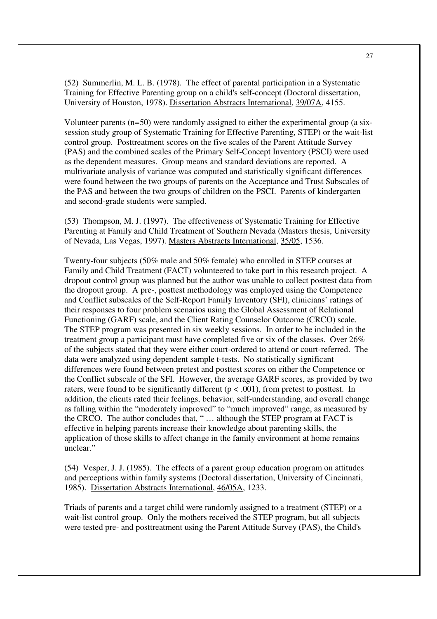(52) Summerlin, M. L. B. (1978). The effect of parental participation in a Systematic Training for Effective Parenting group on a child's self-concept (Doctoral dissertation, University of Houston, 1978). Dissertation Abstracts International, 39/07A, 4155.

Volunteer parents (n=50) were randomly assigned to either the experimental group (a sixsession study group of Systematic Training for Effective Parenting, STEP) or the wait-list control group. Posttreatment scores on the five scales of the Parent Attitude Survey (PAS) and the combined scales of the Primary Self-Concept Inventory (PSCI) were used as the dependent measures. Group means and standard deviations are reported. A multivariate analysis of variance was computed and statistically significant differences were found between the two groups of parents on the Acceptance and Trust Subscales of the PAS and between the two groups of children on the PSCI. Parents of kindergarten and second-grade students were sampled.

(53) Thompson, M. J. (1997). The effectiveness of Systematic Training for Effective Parenting at Family and Child Treatment of Southern Nevada (Masters thesis, University of Nevada, Las Vegas, 1997). Masters Abstracts International, 35/05, 1536.

Twenty-four subjects (50% male and 50% female) who enrolled in STEP courses at Family and Child Treatment (FACT) volunteered to take part in this research project. A dropout control group was planned but the author was unable to collect posttest data from the dropout group. A pre-, posttest methodology was employed using the Competence and Conflict subscales of the Self-Report Family Inventory (SFI), clinicians' ratings of their responses to four problem scenarios using the Global Assessment of Relational Functioning (GARF) scale, and the Client Rating Counselor Outcome (CRCO) scale. The STEP program was presented in six weekly sessions. In order to be included in the treatment group a participant must have completed five or six of the classes. Over 26% of the subjects stated that they were either court-ordered to attend or court-referred. The data were analyzed using dependent sample t-tests. No statistically significant differences were found between pretest and posttest scores on either the Competence or the Conflict subscale of the SFI. However, the average GARF scores, as provided by two raters, were found to be significantly different ( $p < .001$ ), from pretest to posttest. In addition, the clients rated their feelings, behavior, self-understanding, and overall change as falling within the "moderately improved" to "much improved" range, as measured by the CRCO. The author concludes that, " … although the STEP program at FACT is effective in helping parents increase their knowledge about parenting skills, the application of those skills to affect change in the family environment at home remains unclear."

(54) Vesper, J. J. (1985). The effects of a parent group education program on attitudes and perceptions within family systems (Doctoral dissertation, University of Cincinnati, 1985). Dissertation Abstracts International, 46/05A, 1233.

Triads of parents and a target child were randomly assigned to a treatment (STEP) or a wait-list control group. Only the mothers received the STEP program, but all subjects were tested pre- and posttreatment using the Parent Attitude Survey (PAS), the Child's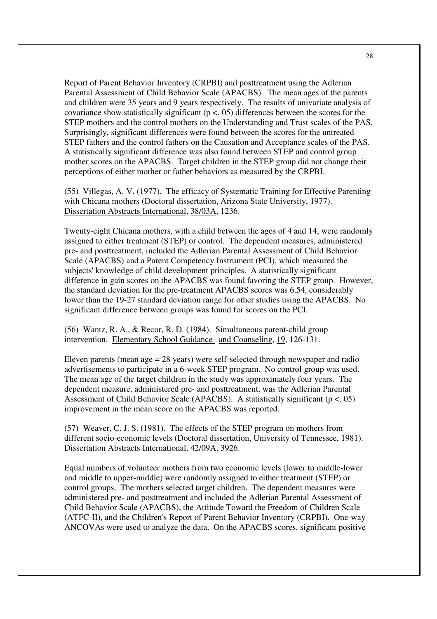Report of Parent Behavior Inventory (CRPBI) and posttreatment using the Adlerian Parental Assessment of Child Behavior Scale (APACBS). The mean ages of the parents and children were 35 years and 9 years respectively. The results of univariate analysis of covariance show statistically significant ( $p < 0.05$ ) differences between the scores for the STEP mothers and the control mothers on the Understanding and Trust scales of the PAS. Surprisingly, significant differences were found between the scores for the untreated STEP fathers and the control fathers on the Causation and Acceptance scales of the PAS. A statistically significant difference was also found between STEP and control group mother scores on the APACBS. Target children in the STEP group did not change their perceptions of either mother or father behaviors as measured by the CRPBI.

(55) Villegas, A. V. (1977). The efficacy of Systematic Training for Effective Parenting with Chicana mothers (Doctoral dissertation, Arizona State University, 1977). Dissertation Abstracts International, 38/03A, 1236.

Twenty-eight Chicana mothers, with a child between the ages of 4 and 14, were randomly assigned to either treatment (STEP) or control. The dependent measures, administered pre- and posttreatment, included the Adlerian Parental Assessment of Child Behavior Scale (APACBS) and a Parent Competency Instrument (PCI), which measured the subjects' knowledge of child development principles. A statistically significant difference in gain scores on the APACBS was found favoring the STEP group. However, the standard deviation for the pre-treatment APACBS scores was 6.54, considerably lower than the 19-27 standard deviation range for other studies using the APACBS. No significant difference between groups was found for scores on the PCI.

(56) Wantz, R. A., & Recor, R. D. (1984). Simultaneous parent-child group intervention. Elementary School Guidance and Counseling, 19, 126-131.

Eleven parents (mean age = 28 years) were self-selected through newspaper and radio advertisements to participate in a 6-week STEP program. No control group was used. The mean age of the target children in the study was approximately four years. The dependent measure, administered pre- and posttreatment, was the Adlerian Parental Assessment of Child Behavior Scale (APACBS). A statistically significant ( $p < .05$ ) improvement in the mean score on the APACBS was reported.

(57) Weaver, C. J. S. (1981). The effects of the STEP program on mothers from different socio-economic levels (Doctoral dissertation, University of Tennessee, 1981). Dissertation Abstracts International, 42/09A, 3926.

Equal numbers of volunteer mothers from two economic levels (lower to middle-lower and middle to upper-middle) were randomly assigned to either treatment (STEP) or control groups. The mothers selected target children. The dependent measures were administered pre- and posttreatment and included the Adlerian Parental Assessment of Child Behavior Scale (APACBS), the Attitude Toward the Freedom of Children Scale (ATFC-II), and the Children's Report of Parent Behavior Inventory (CRPBI). One-way ANCOVAs were used to analyze the data. On the APACBS scores, significant positive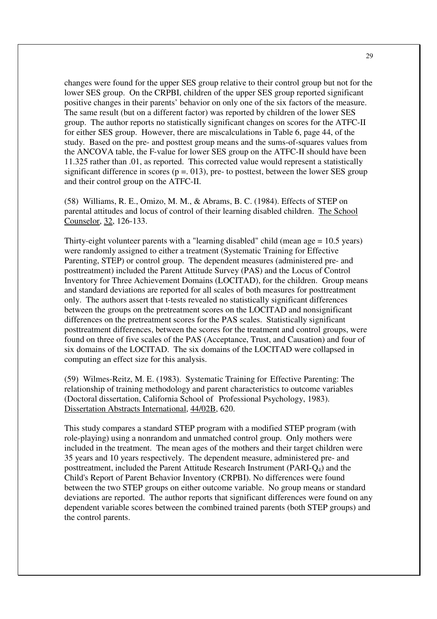changes were found for the upper SES group relative to their control group but not for the lower SES group. On the CRPBI, children of the upper SES group reported significant positive changes in their parents' behavior on only one of the six factors of the measure. The same result (but on a different factor) was reported by children of the lower SES group. The author reports no statistically significant changes on scores for the ATFC-II for either SES group. However, there are miscalculations in Table 6, page 44, of the study. Based on the pre- and posttest group means and the sums-of-squares values from the ANCOVA table, the F-value for lower SES group on the ATFC-II should have been 11.325 rather than .01, as reported. This corrected value would represent a statistically significant difference in scores ( $p = 0.013$ ), pre- to posttest, between the lower SES group and their control group on the ATFC-II.

(58) Williams, R. E., Omizo, M. M., & Abrams, B. C. (1984). Effects of STEP on parental attitudes and locus of control of their learning disabled children. The School Counselor, 32, 126-133.

Thirty-eight volunteer parents with a "learning disabled" child (mean age  $= 10.5$  years) were randomly assigned to either a treatment (Systematic Training for Effective Parenting, STEP) or control group. The dependent measures (administered pre- and posttreatment) included the Parent Attitude Survey (PAS) and the Locus of Control Inventory for Three Achievement Domains (LOCITAD), for the children. Group means and standard deviations are reported for all scales of both measures for posttreatment only. The authors assert that t-tests revealed no statistically significant differences between the groups on the pretreatment scores on the LOCITAD and nonsignificant differences on the pretreatment scores for the PAS scales. Statistically significant posttreatment differences, between the scores for the treatment and control groups, were found on three of five scales of the PAS (Acceptance, Trust, and Causation) and four of six domains of the LOCITAD. The six domains of the LOCITAD were collapsed in computing an effect size for this analysis.

(59) Wilmes-Reitz, M. E. (1983). Systematic Training for Effective Parenting: The relationship of training methodology and parent characteristics to outcome variables (Doctoral dissertation, California School of Professional Psychology, 1983). Dissertation Abstracts International, 44/02B, 620.

This study compares a standard STEP program with a modified STEP program (with role-playing) using a nonrandom and unmatched control group. Only mothers were included in the treatment. The mean ages of the mothers and their target children were 35 years and 10 years respectively. The dependent measure, administered pre- and posttreatment, included the Parent Attitude Research Instrument (PARI-Q4) and the Child's Report of Parent Behavior Inventory (CRPBI). No differences were found between the two STEP groups on either outcome variable. No group means or standard deviations are reported. The author reports that significant differences were found on any dependent variable scores between the combined trained parents (both STEP groups) and the control parents.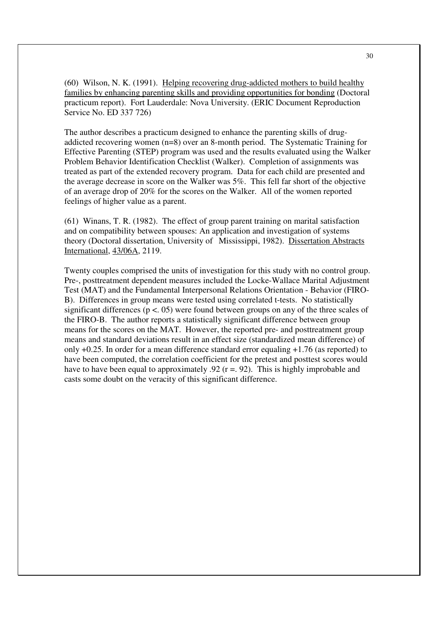(60) Wilson, N. K. (1991). Helping recovering drug-addicted mothers to build healthy families by enhancing parenting skills and providing opportunities for bonding (Doctoral practicum report). Fort Lauderdale: Nova University. (ERIC Document Reproduction Service No. ED 337 726)

The author describes a practicum designed to enhance the parenting skills of drugaddicted recovering women (n=8) over an 8-month period. The Systematic Training for Effective Parenting (STEP) program was used and the results evaluated using the Walker Problem Behavior Identification Checklist (Walker). Completion of assignments was treated as part of the extended recovery program. Data for each child are presented and the average decrease in score on the Walker was 5%. This fell far short of the objective of an average drop of 20% for the scores on the Walker. All of the women reported feelings of higher value as a parent.

(61) Winans, T. R. (1982). The effect of group parent training on marital satisfaction and on compatibility between spouses: An application and investigation of systems theory (Doctoral dissertation, University of Mississippi, 1982). Dissertation Abstracts International, 43/06A, 2119.

Twenty couples comprised the units of investigation for this study with no control group. Pre-, posttreatment dependent measures included the Locke-Wallace Marital Adjustment Test (MAT) and the Fundamental Interpersonal Relations Orientation - Behavior (FIRO-B). Differences in group means were tested using correlated t-tests. No statistically significant differences ( $p < 0.05$ ) were found between groups on any of the three scales of the FIRO-B. The author reports a statistically significant difference between group means for the scores on the MAT. However, the reported pre- and posttreatment group means and standard deviations result in an effect size (standardized mean difference) of only +0.25. In order for a mean difference standard error equaling +1.76 (as reported) to have been computed, the correlation coefficient for the pretest and posttest scores would have to have been equal to approximately .92 ( $r = 92$ ). This is highly improbable and casts some doubt on the veracity of this significant difference.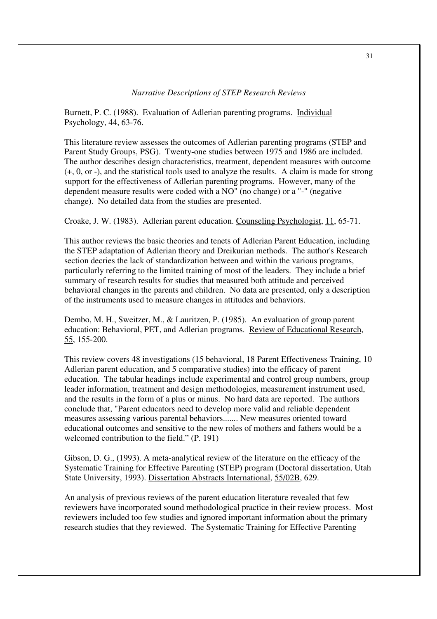## *Narrative Descriptions of STEP Research Reviews*

Burnett, P. C. (1988). Evaluation of Adlerian parenting programs. Individual Psychology, 44, 63-76.

This literature review assesses the outcomes of Adlerian parenting programs (STEP and Parent Study Groups, PSG). Twenty-one studies between 1975 and 1986 are included. The author describes design characteristics, treatment, dependent measures with outcome (+, 0, or -), and the statistical tools used to analyze the results. A claim is made for strong support for the effectiveness of Adlerian parenting programs. However, many of the dependent measure results were coded with a NO" (no change) or a "-" (negative change). No detailed data from the studies are presented.

Croake, J. W. (1983). Adlerian parent education. Counseling Psychologist, 11, 65-71.

This author reviews the basic theories and tenets of Adlerian Parent Education, including the STEP adaptation of Adlerian theory and Dreikurian methods. The author's Research section decries the lack of standardization between and within the various programs, particularly referring to the limited training of most of the leaders. They include a brief summary of research results for studies that measured both attitude and perceived behavioral changes in the parents and children. No data are presented, only a description of the instruments used to measure changes in attitudes and behaviors.

Dembo, M. H., Sweitzer, M., & Lauritzen, P. (1985). An evaluation of group parent education: Behavioral, PET, and Adlerian programs. Review of Educational Research, 55, 155-200.

This review covers 48 investigations (15 behavioral, 18 Parent Effectiveness Training, 10 Adlerian parent education, and 5 comparative studies) into the efficacy of parent education. The tabular headings include experimental and control group numbers, group leader information, treatment and design methodologies, measurement instrument used, and the results in the form of a plus or minus. No hard data are reported. The authors conclude that, "Parent educators need to develop more valid and reliable dependent measures assessing various parental behaviors....... New measures oriented toward educational outcomes and sensitive to the new roles of mothers and fathers would be a welcomed contribution to the field." (P. 191)

Gibson, D. G., (1993). A meta-analytical review of the literature on the efficacy of the Systematic Training for Effective Parenting (STEP) program (Doctoral dissertation, Utah State University, 1993). Dissertation Abstracts International, 55/02B, 629.

An analysis of previous reviews of the parent education literature revealed that few reviewers have incorporated sound methodological practice in their review process. Most reviewers included too few studies and ignored important information about the primary research studies that they reviewed. The Systematic Training for Effective Parenting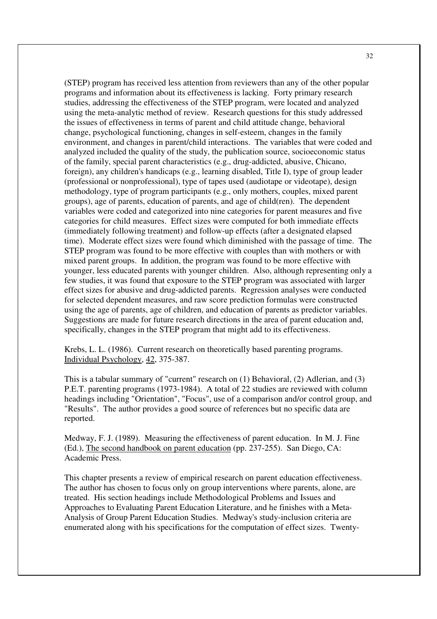(STEP) program has received less attention from reviewers than any of the other popular programs and information about its effectiveness is lacking. Forty primary research studies, addressing the effectiveness of the STEP program, were located and analyzed using the meta-analytic method of review. Research questions for this study addressed the issues of effectiveness in terms of parent and child attitude change, behavioral change, psychological functioning, changes in self-esteem, changes in the family environment, and changes in parent/child interactions. The variables that were coded and analyzed included the quality of the study, the publication source, socioeconomic status of the family, special parent characteristics (e.g., drug-addicted, abusive, Chicano, foreign), any children's handicaps (e.g., learning disabled, Title I), type of group leader (professional or nonprofessional), type of tapes used (audiotape or videotape), design methodology, type of program participants (e.g., only mothers, couples, mixed parent groups), age of parents, education of parents, and age of child(ren). The dependent variables were coded and categorized into nine categories for parent measures and five categories for child measures. Effect sizes were computed for both immediate effects (immediately following treatment) and follow-up effects (after a designated elapsed time). Moderate effect sizes were found which diminished with the passage of time. The STEP program was found to be more effective with couples than with mothers or with mixed parent groups. In addition, the program was found to be more effective with younger, less educated parents with younger children. Also, although representing only a few studies, it was found that exposure to the STEP program was associated with larger effect sizes for abusive and drug-addicted parents. Regression analyses were conducted for selected dependent measures, and raw score prediction formulas were constructed using the age of parents, age of children, and education of parents as predictor variables. Suggestions are made for future research directions in the area of parent education and, specifically, changes in the STEP program that might add to its effectiveness.

Krebs, L. L. (1986). Current research on theoretically based parenting programs. Individual Psychology, 42, 375-387.

This is a tabular summary of "current" research on (1) Behavioral, (2) Adlerian, and (3) P.E.T. parenting programs (1973-1984). A total of 22 studies are reviewed with column headings including "Orientation", "Focus", use of a comparison and/or control group, and "Results". The author provides a good source of references but no specific data are reported.

Medway, F. J. (1989). Measuring the effectiveness of parent education. In M. J. Fine (Ed.), The second handbook on parent education (pp. 237-255). San Diego, CA: Academic Press.

This chapter presents a review of empirical research on parent education effectiveness. The author has chosen to focus only on group interventions where parents, alone, are treated. His section headings include Methodological Problems and Issues and Approaches to Evaluating Parent Education Literature, and he finishes with a Meta-Analysis of Group Parent Education Studies. Medway's study-inclusion criteria are enumerated along with his specifications for the computation of effect sizes. Twenty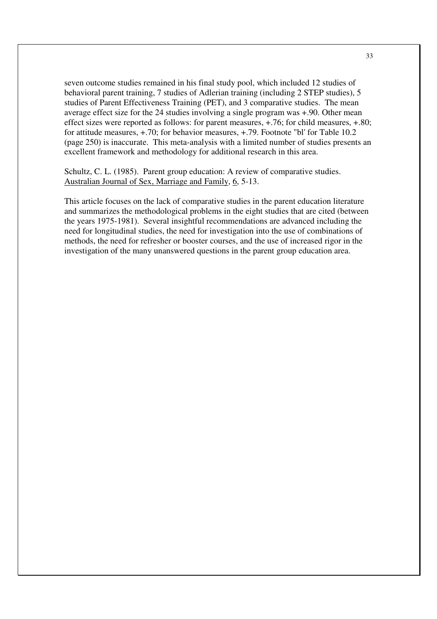seven outcome studies remained in his final study pool, which included 12 studies of behavioral parent training, 7 studies of Adlerian training (including 2 STEP studies), 5 studies of Parent Effectiveness Training (PET), and 3 comparative studies. The mean average effect size for the 24 studies involving a single program was +.90. Other mean effect sizes were reported as follows: for parent measures, +.76; for child measures, +.80; for attitude measures, +.70; for behavior measures, +.79. Footnote "bl' for Table 10.2 (page 250) is inaccurate. This meta-analysis with a limited number of studies presents an excellent framework and methodology for additional research in this area.

Schultz, C. L. (1985). Parent group education: A review of comparative studies. Australian Journal of Sex, Marriage and Family, 6, 5-13.

This article focuses on the lack of comparative studies in the parent education literature and summarizes the methodological problems in the eight studies that are cited (between the years 1975-1981). Several insightful recommendations are advanced including the need for longitudinal studies, the need for investigation into the use of combinations of methods, the need for refresher or booster courses, and the use of increased rigor in the investigation of the many unanswered questions in the parent group education area.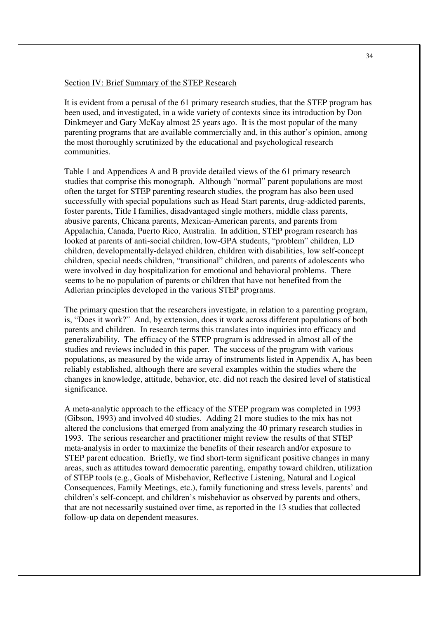## Section IV: Brief Summary of the STEP Research

It is evident from a perusal of the 61 primary research studies, that the STEP program has been used, and investigated, in a wide variety of contexts since its introduction by Don Dinkmeyer and Gary McKay almost 25 years ago. It is the most popular of the many parenting programs that are available commercially and, in this author's opinion, among the most thoroughly scrutinized by the educational and psychological research communities.

Table 1 and Appendices A and B provide detailed views of the 61 primary research studies that comprise this monograph. Although "normal" parent populations are most often the target for STEP parenting research studies, the program has also been used successfully with special populations such as Head Start parents, drug-addicted parents, foster parents, Title I families, disadvantaged single mothers, middle class parents, abusive parents, Chicana parents, Mexican-American parents, and parents from Appalachia, Canada, Puerto Rico, Australia. In addition, STEP program research has looked at parents of anti-social children, low-GPA students, "problem" children, LD children, developmentally-delayed children, children with disabilities, low self-concept children, special needs children, "transitional" children, and parents of adolescents who were involved in day hospitalization for emotional and behavioral problems. There seems to be no population of parents or children that have not benefited from the Adlerian principles developed in the various STEP programs.

The primary question that the researchers investigate, in relation to a parenting program, is, "Does it work?" And, by extension, does it work across different populations of both parents and children. In research terms this translates into inquiries into efficacy and generalizability. The efficacy of the STEP program is addressed in almost all of the studies and reviews included in this paper. The success of the program with various populations, as measured by the wide array of instruments listed in Appendix A, has been reliably established, although there are several examples within the studies where the changes in knowledge, attitude, behavior, etc. did not reach the desired level of statistical significance.

A meta-analytic approach to the efficacy of the STEP program was completed in 1993 (Gibson, 1993) and involved 40 studies. Adding 21 more studies to the mix has not altered the conclusions that emerged from analyzing the 40 primary research studies in 1993. The serious researcher and practitioner might review the results of that STEP meta-analysis in order to maximize the benefits of their research and/or exposure to STEP parent education. Briefly, we find short-term significant positive changes in many areas, such as attitudes toward democratic parenting, empathy toward children, utilization of STEP tools (e.g., Goals of Misbehavior, Reflective Listening, Natural and Logical Consequences, Family Meetings, etc.), family functioning and stress levels, parents' and children's self-concept, and children's misbehavior as observed by parents and others, that are not necessarily sustained over time, as reported in the 13 studies that collected follow-up data on dependent measures.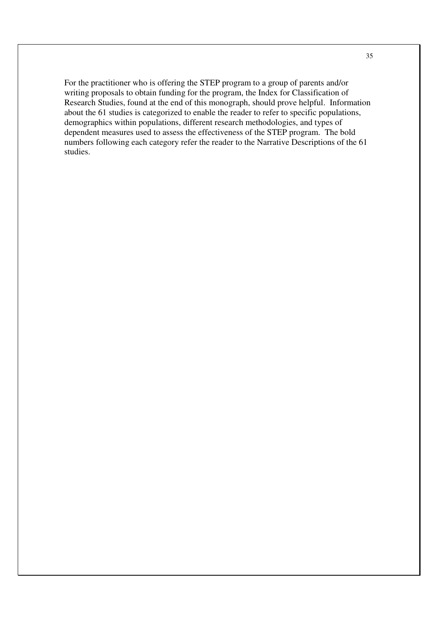For the practitioner who is offering the STEP program to a group of parents and/or writing proposals to obtain funding for the program, the Index for Classification of Research Studies, found at the end of this monograph, should prove helpful. Information about the 61 studies is categorized to enable the reader to refer to specific populations, demographics within populations, different research methodologies, and types of dependent measures used to assess the effectiveness of the STEP program. The bold numbers following each category refer the reader to the Narrative Descriptions of the 61 studies.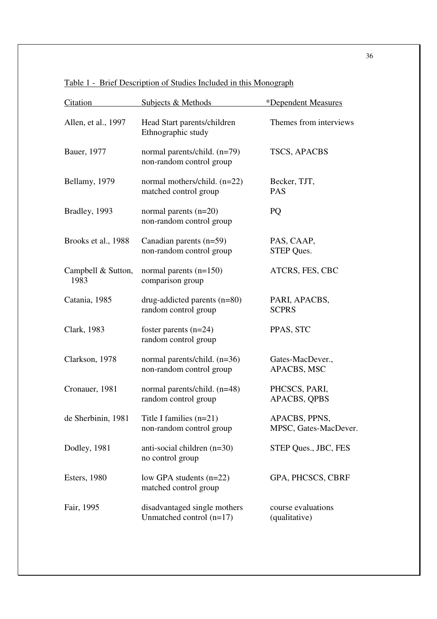| Citation                   | Subjects & Methods                                         | *Dependent Measures                    |
|----------------------------|------------------------------------------------------------|----------------------------------------|
| Allen, et al., 1997        | Head Start parents/children<br>Ethnographic study          | Themes from interviews                 |
| Bauer, 1977                | normal parents/child. (n=79)<br>non-random control group   | TSCS, APACBS                           |
| Bellamy, 1979              | normal mothers/child. (n=22)<br>matched control group      | Becker, TJT,<br><b>PAS</b>             |
| Bradley, 1993              | normal parents $(n=20)$<br>non-random control group        | PQ                                     |
| Brooks et al., 1988        | Canadian parents $(n=59)$<br>non-random control group      | PAS, CAAP,<br><b>STEP Ques.</b>        |
| Campbell & Sutton,<br>1983 | normal parents $(n=150)$<br>comparison group               | ATCRS, FES, CBC                        |
| Catania, 1985              | drug-addicted parents $(n=80)$<br>random control group     | PARI, APACBS,<br><b>SCPRS</b>          |
| Clark, 1983                | foster parents $(n=24)$<br>random control group            | PPAS, STC                              |
| Clarkson, 1978             | normal parents/child. (n=36)<br>non-random control group   | Gates-MacDever.,<br>APACBS, MSC        |
| Cronauer, 1981             | normal parents/child. (n=48)<br>random control group       | PHCSCS, PARI,<br><b>APACBS, QPBS</b>   |
| de Sherbinin, 1981         | Title I families $(n=21)$<br>non-random control group      | APACBS, PPNS,<br>MPSC, Gates-MacDever. |
| Dodley, 1981               | anti-social children $(n=30)$<br>no control group          | STEP Ques., JBC, FES                   |
| <b>Esters</b> , 1980       | low GPA students $(n=22)$<br>matched control group         | GPA, PHCSCS, CBRF                      |
| Fair, 1995                 | disadvantaged single mothers<br>Unmatched control $(n=17)$ | course evaluations<br>(qualitative)    |

Table 1 - Brief Description of Studies Included in this Monograph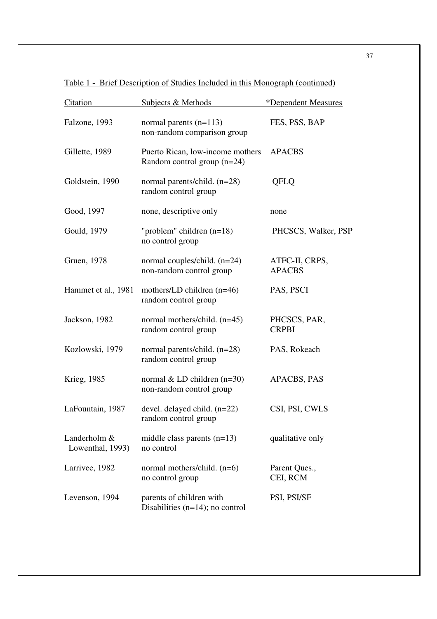| Citation                         | Subjects & Methods                                                | *Dependent Measures             |
|----------------------------------|-------------------------------------------------------------------|---------------------------------|
| Falzone, 1993                    | normal parents $(n=113)$<br>non-random comparison group           | FES, PSS, BAP                   |
| Gillette, 1989                   | Puerto Rican, low-income mothers<br>Random control group $(n=24)$ | <b>APACBS</b>                   |
| Goldstein, 1990                  | normal parents/child. (n=28)<br>random control group              | QFLQ                            |
| Good, 1997                       | none, descriptive only                                            | none                            |
| Gould, 1979                      | "problem" children $(n=18)$<br>no control group                   | PHCSCS, Walker, PSP             |
| Gruen, 1978                      | normal couples/child. $(n=24)$<br>non-random control group        | ATFC-II, CRPS,<br><b>APACBS</b> |
| Hammet et al., 1981              | mothers/LD children $(n=46)$<br>random control group              | PAS, PSCI                       |
| Jackson, 1982                    | normal mothers/child. (n=45)<br>random control group              | PHCSCS, PAR,<br><b>CRPBI</b>    |
| Kozlowski, 1979                  | normal parents/child. (n=28)<br>random control group              | PAS, Rokeach                    |
| Krieg, 1985                      | normal & LD children $(n=30)$<br>non-random control group         | APACBS, PAS                     |
| LaFountain, 1987                 | devel. delayed child. $(n=22)$<br>random control group            | CSI, PSI, CWLS                  |
| Landerholm &<br>Lowenthal, 1993) | middle class parents $(n=13)$<br>no control                       | qualitative only                |
| Larrivee, 1982                   | normal mothers/child. (n=6)<br>no control group                   | Parent Ques.,<br>CEI, RCM       |
| Levenson, 1994                   | parents of children with<br>Disabilities $(n=14)$ ; no control    | PSI, PSI/SF                     |

Table 1 - Brief Description of Studies Included in this Monograph (continued)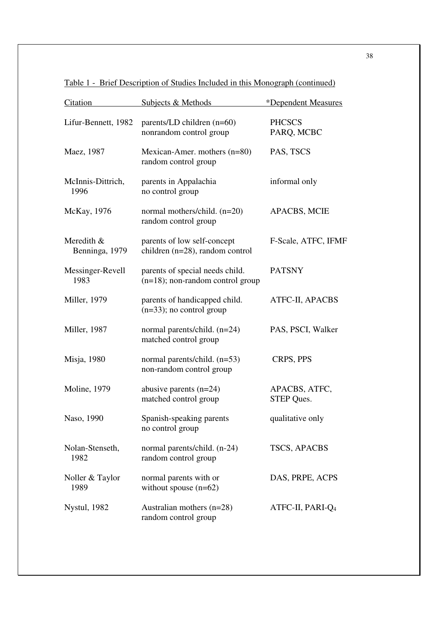| Citation                     | Subjects & Methods                                                     | *Dependent Measures                |
|------------------------------|------------------------------------------------------------------------|------------------------------------|
| Lifur-Bennett, 1982          | parents/LD children (n=60)<br>nonrandom control group                  | <b>PHCSCS</b><br>PARQ, MCBC        |
| Maez, 1987                   | Mexican-Amer. mothers (n=80)<br>random control group                   | PAS, TSCS                          |
| McInnis-Dittrich,<br>1996    | parents in Appalachia<br>no control group                              | informal only                      |
| McKay, 1976                  | normal mothers/child. (n=20)<br>random control group                   | <b>APACBS, MCIE</b>                |
| Meredith &<br>Benninga, 1979 | parents of low self-concept<br>children $(n=28)$ , random control      | F-Scale, ATFC, IFMF                |
| Messinger-Revell<br>1983     | parents of special needs child.<br>$(n=18)$ ; non-random control group | <b>PATSNY</b>                      |
| Miller, 1979                 | parents of handicapped child.<br>$(n=33)$ ; no control group           | ATFC-II, APACBS                    |
| Miller, 1987                 | normal parents/child. (n=24)<br>matched control group                  | PAS, PSCI, Walker                  |
| Misja, 1980                  | normal parents/child. (n=53)<br>non-random control group               | CRPS, PPS                          |
| <b>Moline</b> , 1979         | abusive parents $(n=24)$<br>matched control group                      | APACBS, ATFC,<br><b>STEP Ques.</b> |
| Naso, 1990                   | Spanish-speaking parents<br>no control group                           | qualitative only                   |
| Nolan-Stenseth,<br>1982      | normal parents/child. (n-24)<br>random control group                   | <b>TSCS, APACBS</b>                |
| Noller & Taylor<br>1989      | normal parents with or<br>without spouse $(n=62)$                      | DAS, PRPE, ACPS                    |
| <b>Nystul</b> , 1982         | Australian mothers $(n=28)$<br>random control group                    | ATFC-II, PARI-Q <sub>4</sub>       |

Table 1 - Brief Description of Studies Included in this Monograph (continued)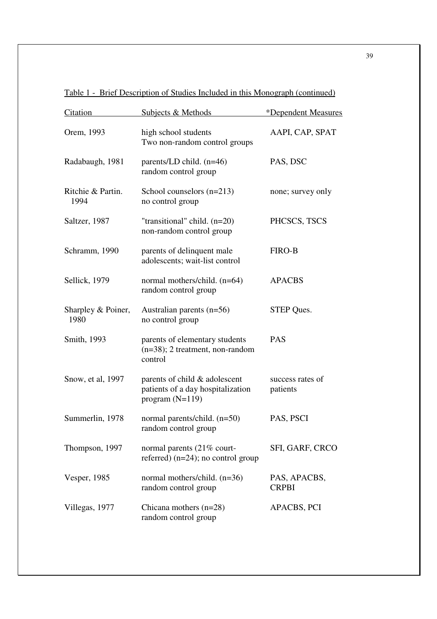| Citation                   | <b>Subjects &amp; Methods</b>                                                           | <i><b>*Dependent Measures</b></i> |
|----------------------------|-----------------------------------------------------------------------------------------|-----------------------------------|
| Orem, 1993                 | high school students<br>Two non-random control groups                                   | AAPI, CAP, SPAT                   |
| Radabaugh, 1981            | parents/LD child. $(n=46)$<br>random control group                                      | PAS, DSC                          |
| Ritchie & Partin.<br>1994  | School counselors $(n=213)$<br>no control group                                         | none; survey only                 |
| Saltzer, 1987              | "transitional" child. (n=20)<br>non-random control group                                | PHCSCS, TSCS                      |
| Schramm, 1990              | parents of delinquent male<br>adolescents; wait-list control                            | <b>FIRO-B</b>                     |
| Sellick, 1979              | normal mothers/child. (n=64)<br>random control group                                    | <b>APACBS</b>                     |
| Sharpley & Poiner,<br>1980 | Australian parents $(n=56)$<br>no control group                                         | <b>STEP Ques.</b>                 |
| Smith, 1993                | parents of elementary students<br>$(n=38)$ ; 2 treatment, non-random<br>control         | <b>PAS</b>                        |
| Snow, et al, 1997          | parents of child & adolescent<br>patients of a day hospitalization<br>program $(N=119)$ | success rates of<br>patients      |
| Summerlin, 1978            | normal parents/child. (n=50)<br>random control group                                    | PAS, PSCI                         |
| Thompson, 1997             | normal parents (21% court-<br>referred) $(n=24)$ ; no control group                     | SFI, GARF, CRCO                   |
| Vesper, 1985               | normal mothers/child. $(n=36)$<br>random control group                                  | PAS, APACBS,<br><b>CRPBI</b>      |
| Villegas, 1977             | Chicana mothers $(n=28)$<br>random control group                                        | APACBS, PCI                       |

Table 1 - Brief Description of Studies Included in this Monograph (continued)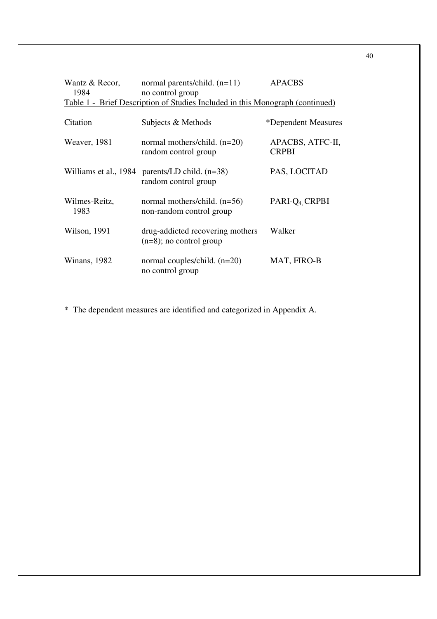| Wantz & Recor,<br>1984 | normal parents/child. $(n=11)$<br>no control group                            | <b>APACBS</b>                    |
|------------------------|-------------------------------------------------------------------------------|----------------------------------|
|                        | Table 1 - Brief Description of Studies Included in this Monograph (continued) |                                  |
| Citation               | Subjects & Methods                                                            | <i>*Dependent Measures</i>       |
| Weaver, 1981           | normal mothers/child. (n=20)<br>random control group                          | APACBS, ATFC-II,<br><b>CRPBI</b> |
| Williams et al., 1984  | parents/LD child. $(n=38)$<br>random control group                            | PAS, LOCITAD                     |
| Wilmes-Reitz,<br>1983  | normal mothers/child. $(n=56)$<br>non-random control group                    | PARI-Q <sub>4</sub> CRPBI        |
| Wilson, 1991           | drug-addicted recovering mothers<br>$(n=8)$ ; no control group                | Walker                           |
| Winans, 1982           | normal couples/child. $(n=20)$<br>no control group                            | MAT, FIRO-B                      |

\* The dependent measures are identified and categorized in Appendix A.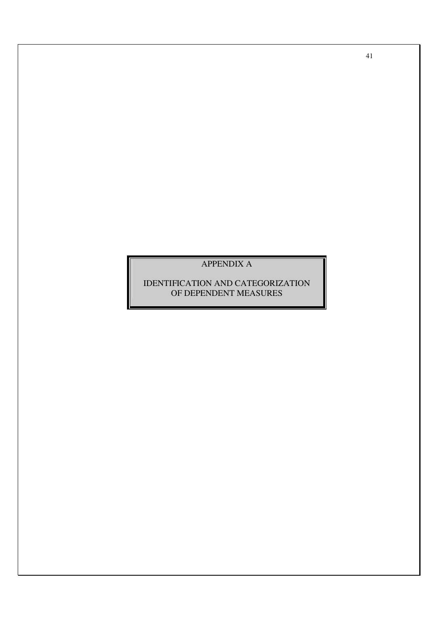## APPENDIX A

IDENTIFICATION AND CATEGORIZATION OF DEPENDENT MEASURES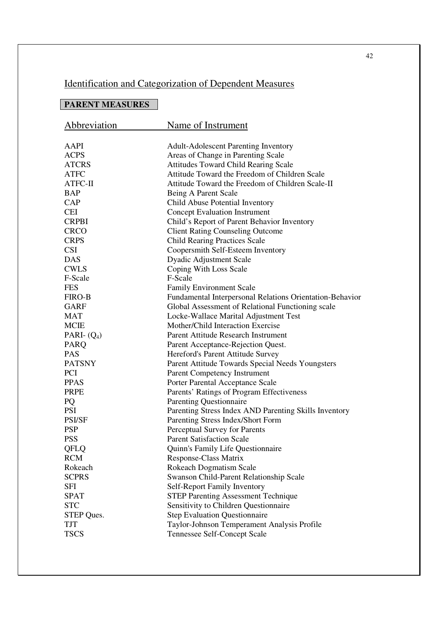# Identification and Categorization of Dependent Measures

# **PARENT MEASURES**

| Abbreviation             | Name of Instrument                                       |
|--------------------------|----------------------------------------------------------|
| AAPI                     | <b>Adult-Adolescent Parenting Inventory</b>              |
| <b>ACPS</b>              | Areas of Change in Parenting Scale                       |
| <b>ATCRS</b>             | Attitudes Toward Child Rearing Scale                     |
| <b>ATFC</b>              | Attitude Toward the Freedom of Children Scale            |
| ATFC-II                  | Attitude Toward the Freedom of Children Scale-II         |
| BAP                      | Being A Parent Scale                                     |
| CAP                      | Child Abuse Potential Inventory                          |
| <b>CEI</b>               | <b>Concept Evaluation Instrument</b>                     |
| <b>CRPBI</b>             | Child's Report of Parent Behavior Inventory              |
| <b>CRCO</b>              |                                                          |
|                          | <b>Client Rating Counseling Outcome</b>                  |
| <b>CRPS</b>              | <b>Child Rearing Practices Scale</b>                     |
| <b>CSI</b><br><b>DAS</b> | Coopersmith Self-Esteem Inventory                        |
|                          | <b>Dyadic Adjustment Scale</b>                           |
| <b>CWLS</b>              | Coping With Loss Scale<br>F-Scale                        |
| F-Scale                  |                                                          |
| <b>FES</b>               | <b>Family Environment Scale</b>                          |
| <b>FIRO-B</b>            | Fundamental Interpersonal Relations Orientation-Behavior |
| GARF                     | Global Assessment of Relational Functioning scale        |
| <b>MAT</b>               | Locke-Wallace Marital Adjustment Test                    |
| <b>MCIE</b>              | Mother/Child Interaction Exercise                        |
| PARI- $(Q_4)$            | Parent Attitude Research Instrument                      |
| <b>PARQ</b>              | Parent Acceptance-Rejection Quest.                       |
| <b>PAS</b>               | Hereford's Parent Attitude Survey                        |
| <b>PATSNY</b>            | Parent Attitude Towards Special Needs Youngsters         |
| <b>PCI</b>               | Parent Competency Instrument                             |
| <b>PPAS</b>              | Porter Parental Acceptance Scale                         |
| <b>PRPE</b>              | Parents' Ratings of Program Effectiveness                |
| PQ                       | <b>Parenting Questionnaire</b>                           |
| <b>PSI</b>               | Parenting Stress Index AND Parenting Skills Inventory    |
| <b>PSI/SF</b>            | Parenting Stress Index/Short Form                        |
| <b>PSP</b>               | Perceptual Survey for Parents                            |
| <b>PSS</b>               | <b>Parent Satisfaction Scale</b>                         |
| QFLQ                     | Quinn's Family Life Questionnaire                        |
| <b>RCM</b>               | <b>Response-Class Matrix</b>                             |
| Rokeach                  | <b>Rokeach Dogmatism Scale</b>                           |
| <b>SCPRS</b>             | Swanson Child-Parent Relationship Scale                  |
| SFI                      | Self-Report Family Inventory                             |
| <b>SPAT</b>              | <b>STEP Parenting Assessment Technique</b>               |
| <b>STC</b>               | Sensitivity to Children Questionnaire                    |
| STEP Ques.               | <b>Step Evaluation Questionnaire</b>                     |
| TJT                      | Taylor-Johnson Temperament Analysis Profile              |
| <b>TSCS</b>              | Tennessee Self-Concept Scale                             |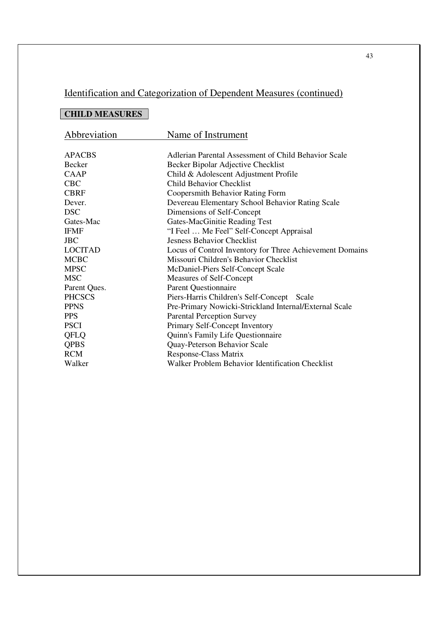# Identification and Categorization of Dependent Measures (continued)

# **CHILD MEASURES**

| Abbreviation   | Name of Instrument                                       |
|----------------|----------------------------------------------------------|
|                |                                                          |
| <b>APACBS</b>  | Adlerian Parental Assessment of Child Behavior Scale     |
| <b>Becker</b>  | Becker Bipolar Adjective Checklist                       |
| <b>CAAP</b>    | Child & Adolescent Adjustment Profile                    |
| <b>CBC</b>     | <b>Child Behavior Checklist</b>                          |
| <b>CBRF</b>    | Coopersmith Behavior Rating Form                         |
| Dever.         | Devereau Elementary School Behavior Rating Scale         |
| <b>DSC</b>     | Dimensions of Self-Concept                               |
| Gates-Mac      | Gates-MacGinitie Reading Test                            |
| <b>IFMF</b>    | "I Feel  Me Feel" Self-Concept Appraisal                 |
| <b>JBC</b>     | <b>Jesness Behavior Checklist</b>                        |
| <b>LOCITAD</b> | Locus of Control Inventory for Three Achievement Domains |
| <b>MCBC</b>    | Missouri Children's Behavior Checklist                   |
| <b>MPSC</b>    | McDaniel-Piers Self-Concept Scale                        |
| <b>MSC</b>     | Measures of Self-Concept                                 |
| Parent Ques.   | <b>Parent Questionnaire</b>                              |
| <b>PHCSCS</b>  | Piers-Harris Children's Self-Concept Scale               |
| <b>PPNS</b>    | Pre-Primary Nowicki-Strickland Internal/External Scale   |
| <b>PPS</b>     | <b>Parental Perception Survey</b>                        |
| <b>PSCI</b>    | Primary Self-Concept Inventory                           |
| QFLQ           | Quinn's Family Life Questionnaire                        |
| <b>QPBS</b>    | Quay-Peterson Behavior Scale                             |
| <b>RCM</b>     | Response-Class Matrix                                    |
| Walker         | Walker Problem Behavior Identification Checklist         |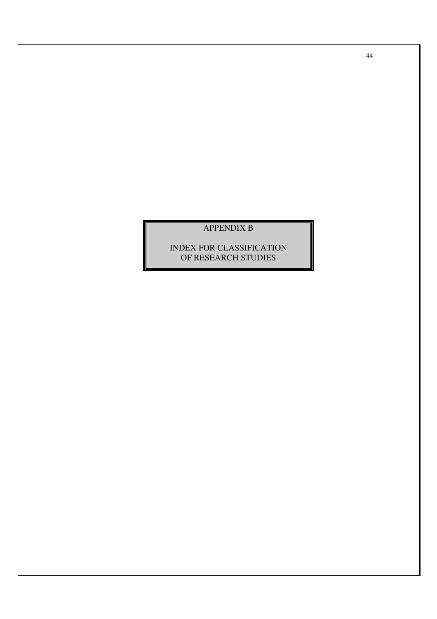## APPENDIX B

## INDEX FOR CLASSIFICATION OF RESEARCH STUDIES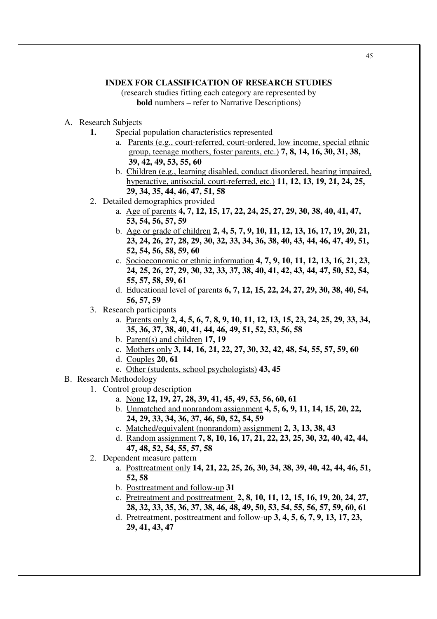## **INDEX FOR CLASSIFICATION OF RESEARCH STUDIES**

(research studies fitting each category are represented by **bold** numbers – refer to Narrative Descriptions)

- A. Research Subjects
	- **1.** Special population characteristics represented
		- a. Parents (e.g., court-referred, court-ordered, low income, special ethnic group, teenage mothers, foster parents, etc.) **7, 8, 14, 16, 30, 31, 38, 39, 42, 49, 53, 55, 60**
		- b. Children (e.g., learning disabled, conduct disordered, hearing impaired, hyperactive, antisocial, court-referred, etc.) **11, 12, 13, 19, 21, 24, 25, 29, 34, 35, 44, 46, 47, 51, 58**
	- 2. Detailed demographics provided
		- a. Age of parents **4, 7, 12, 15, 17, 22, 24, 25, 27, 29, 30, 38, 40, 41, 47, 53, 54, 56, 57, 59**
		- b. Age or grade of children **2, 4, 5, 7, 9, 10, 11, 12, 13, 16, 17, 19, 20, 21, 23, 24, 26, 27, 28, 29, 30, 32, 33, 34, 36, 38, 40, 43, 44, 46, 47, 49, 51, 52, 54, 56, 58, 59, 60**
		- c. Socioeconomic or ethnic information **4, 7, 9, 10, 11, 12, 13, 16, 21, 23, 24, 25, 26, 27, 29, 30, 32, 33, 37, 38, 40, 41, 42, 43, 44, 47, 50, 52, 54, 55, 57, 58, 59, 61**
		- d. Educational level of parents **6, 7, 12, 15, 22, 24, 27, 29, 30, 38, 40, 54, 56, 57, 59**
	- 3. Research participants
		- a. Parents only **2, 4, 5, 6, 7, 8, 9, 10, 11, 12, 13, 15, 23, 24, 25, 29, 33, 34, 35, 36, 37, 38, 40, 41, 44, 46, 49, 51, 52, 53, 56, 58**
		- b. Parent(s) and children **17, 19**
		- c. Mothers only **3, 14, 16, 21, 22, 27, 30, 32, 42, 48, 54, 55, 57, 59, 60**
		- d. Couples **20, 61**
		- e. Other (students, school psychologists) **43, 45**
- B. Research Methodology
	- 1. Control group description
		- a. None **12, 19, 27, 28, 39, 41, 45, 49, 53, 56, 60, 61**
		- b. Unmatched and nonrandom assignment **4, 5, 6, 9, 11, 14, 15, 20, 22, 24, 29, 33, 34, 36, 37, 46, 50, 52, 54, 59**
		- c. Matched/equivalent (nonrandom) assignment **2, 3, 13, 38, 43**
		- d. Random assignment **7, 8, 10, 16, 17, 21, 22, 23, 25, 30, 32, 40, 42, 44, 47, 48, 52, 54, 55, 57, 58**
	- 2. Dependent measure pattern
		- a. Posttreatment only **14, 21, 22, 25, 26, 30, 34, 38, 39, 40, 42, 44, 46, 51, 52, 58**
		- b. Posttreatment and follow-up **31**
		- c. Pretreatment and posttreatment **2, 8, 10, 11, 12, 15, 16, 19, 20, 24, 27, 28, 32, 33, 35, 36, 37, 38, 46, 48, 49, 50, 53, 54, 55, 56, 57, 59, 60, 61**
		- d. Pretreatment, posttreatment and follow-up **3, 4, 5, 6, 7, 9, 13, 17, 23, 29, 41, 43, 47**